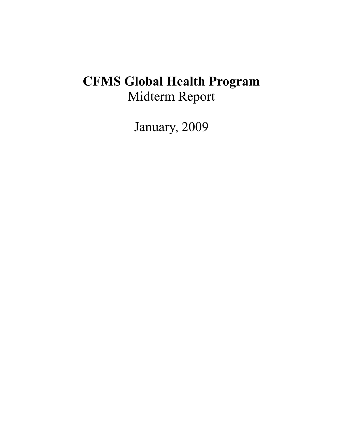# **CFMS Global Health Program** Midterm Report

January, 2009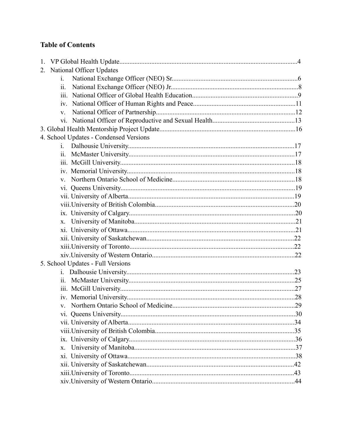# **Table of Contents**

| 2. National Officer Updates            |  |
|----------------------------------------|--|
| $\mathbf{i}$ .                         |  |
| 11.                                    |  |
|                                        |  |
|                                        |  |
| $V_{-}$                                |  |
|                                        |  |
|                                        |  |
| 4. School Updates - Condensed Versions |  |
| $i_{-}$                                |  |
| 11.                                    |  |
|                                        |  |
|                                        |  |
| $V_{\perp}$                            |  |
|                                        |  |
|                                        |  |
|                                        |  |
|                                        |  |
|                                        |  |
|                                        |  |
|                                        |  |
|                                        |  |
|                                        |  |
| 5. School Updates - Full Versions      |  |
| $\mathbf{i}$ .                         |  |
|                                        |  |
|                                        |  |
|                                        |  |
|                                        |  |
|                                        |  |
|                                        |  |
|                                        |  |
|                                        |  |
| $X_{-}$                                |  |
|                                        |  |
|                                        |  |
|                                        |  |
|                                        |  |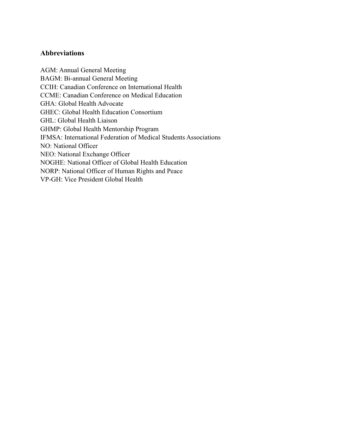#### **Abbreviations**

AGM: Annual General Meeting BAGM: Bi-annual General Meeting CCIH: Canadian Conference on International Health CCME: Canadian Conference on Medical Education GHA: Global Health Advocate GHEC: Global Health Education Consortium GHL: Global Health Liaison GHMP: Global Health Mentorship Program IFMSA: International Federation of Medical Students Associations NO: National Officer NEO: National Exchange Officer NOGHE: National Officer of Global Health Education NORP: National Officer of Human Rights and Peace VP-GH: Vice President Global Health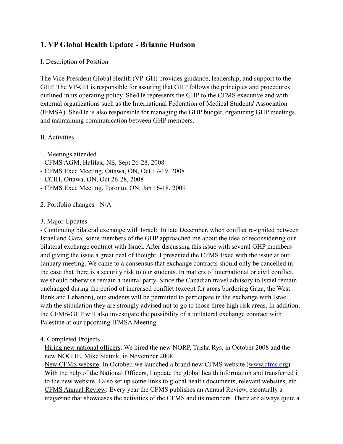# **1. VP Global Health Update - Brianne Hudson**

#### I. Description of Position

The Vice President Global Health (VP-GH) provides guidance, leadership, and support to the GHP. The VP-GH is responsible for assuring that GHP follows the principles and procedures outlined in its operating policy. She/He represents the GHP to the CFMS executive and with external organizations such as the International Federation of Medical Students' Association (IFMSA). She/He is also responsible for managing the GHP budget, organizing GHP meetings, and maintaining communication between GHP members.

#### II. Activities

- 1. Meetings attended
- CFMS AGM, Halifax, NS, Sept 26-28, 2008
- CFMS Exec Meeting, Ottawa, ON, Oct 17-19, 2008
- CCIH, Ottawa, ON, Oct 26-28, 2008
- CFMS Exec Meeting, Toronto, ON, Jan 16-18, 2009

#### 2. Portfolio changes - N/A

3. Major Updates

- Continuing bilateral exchange with Israel: In late December, when conflict re-ignited between Israel and Gaza, some members of the GHP approached me about the idea of reconsidering our bilateral exchange contract with Israel. After discussing this issue with several GHP members and giving the issue a great deal of thought, I presented the CFMS Exec with the issue at our January meeting. We came to a consensus that exchange contracts should only be cancelled in the case that there is a security risk to our students. In matters of international or civil conflict, we should otherwise remain a neutral party. Since the Canadian travel advisory to Israel remain unchanged during the period of increased conflict (except for areas bordering Gaza, the West Bank and Lebanon), our students will be permitted to participate in the exchange with Israel, with the stipulation they are strongly advised not to go to those three high risk areas. In addition, the CFMS-GHP will also investigate the possibility of a unilateral exchange contract with Palestine at our upcoming IFMSA Meeting.

- 4. Completed Projects
- Hiring new national officers: We hired the new NORP, Trisha Rys, in October 2008 and the new NOGHE, Mike Slatnik, in November 2008.
- New CFMS website: In October, we launched a brand new CFMS website [\(www.cfms.org](http://www.cfms.org)). With the help of the National Officers, I update the global health information and transferred it to the new website. I also set up some links to global health documents, relevant websites, etc.
- CFMS Annual Review: Every year the CFMS publishes an Annual Review, essentially a magazine that showcases the activities of the CFMS and its members. There are always quite a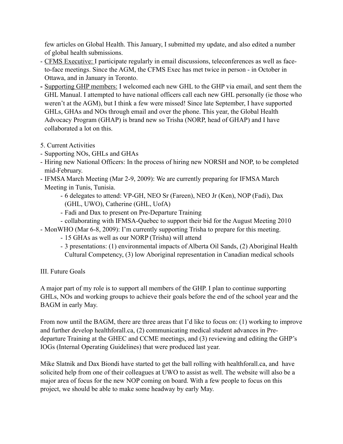few articles on Global Health. This January, I submitted my update, and also edited a number of global health submissions.

- CFMS Executive: I participate regularly in email discussions, teleconferences as well as faceto-face meetings. Since the AGM, the CFMS Exec has met twice in person - in October in Ottawa, and in January in Toronto.
- **-** Supporting GHP members: I welcomed each new GHL to the GHP via email, and sent them the GHL Manual. I attempted to have national officers call each new GHL personally (ie those who weren't at the AGM), but I think a few were missed! Since late September, I have supported GHLs, GHAs and NOs through email and over the phone. This year, the Global Health Advocacy Program (GHAP) is brand new so Trisha (NORP, head of GHAP) and I have collaborated a lot on this.
- 5. Current Activities
- Supporting NOs, GHLs and GHAs
- Hiring new National Officers: In the process of hiring new NORSH and NOP, to be completed mid-February.
- IFMSA March Meeting (Mar 2-9, 2009): We are currently preparing for IFMSA March Meeting in Tunis, Tunisia.
	- 6 delegates to attend: VP-GH, NEO Sr (Fareen), NEO Jr (Ken), NOP (Fadi), Dax (GHL, UWO), Catherine (GHL, UofA)
	- Fadi and Dax to present on Pre-Departure Training
	- collaborating with IFMSA-Quebec to support their bid for the August Meeting 2010
- MonWHO (Mar 6-8, 2009): I'm currently supporting Trisha to prepare for this meeting.
	- 15 GHAs as well as our NORP (Trisha) will attend
	- 3 presentations: (1) environmental impacts of Alberta Oil Sands, (2) Aboriginal Health Cultural Competency, (3) low Aboriginal representation in Canadian medical schools

III. Future Goals

A major part of my role is to support all members of the GHP. I plan to continue supporting GHLs, NOs and working groups to achieve their goals before the end of the school year and the BAGM in early May.

From now until the BAGM, there are three areas that I'd like to focus on: (1) working to improve and further develop healthforall.ca, (2) communicating medical student advances in Predeparture Training at the GHEC and CCME meetings, and (3) reviewing and editing the GHP's IOGs (Internal Operating Guidelines) that were produced last year.

Mike Slatnik and Dax Biondi have started to get the ball rolling with healthforall.ca, and have solicited help from one of their colleagues at UWO to assist as well. The website will also be a major area of focus for the new NOP coming on board. With a few people to focus on this project, we should be able to make some headway by early May.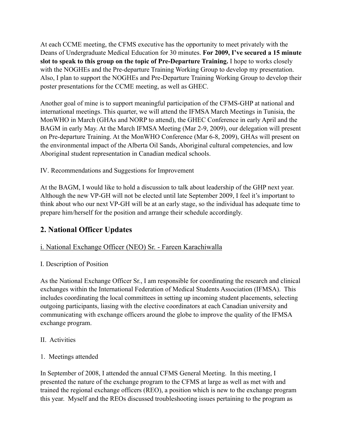At each CCME meeting, the CFMS executive has the opportunity to meet privately with the Deans of Undergraduate Medical Education for 30 minutes. **For 2009, I've secured a 15 minute slot to speak to this group on the topic of Pre-Departure Training.** I hope to works closely with the NOGHEs and the Pre-departure Training Working Group to develop my presentation. Also, I plan to support the NOGHEs and Pre-Departure Training Working Group to develop their poster presentations for the CCME meeting, as well as GHEC.

Another goal of mine is to support meaningful participation of the CFMS-GHP at national and international meetings. This quarter, we will attend the IFMSA March Meetings in Tunisia, the MonWHO in March (GHAs and NORP to attend), the GHEC Conference in early April and the BAGM in early May. At the March IFMSA Meeting (Mar 2-9, 2009), our delegation will present on Pre-departure Training. At the MonWHO Conference (Mar 6-8, 2009), GHAs will present on the environmental impact of the Alberta Oil Sands, Aboriginal cultural competencies, and low Aboriginal student representation in Canadian medical schools.

### IV. Recommendations and Suggestions for Improvement

At the BAGM, I would like to hold a discussion to talk about leadership of the GHP next year. Although the new VP-GH will not be elected until late September 2009, I feel it's important to think about who our next VP-GH will be at an early stage, so the individual has adequate time to prepare him/herself for the position and arrange their schedule accordingly.

# **2. National Officer Updates**

# i. National Exchange Officer (NEO) Sr. - Fareen Karachiwalla

### I. Description of Position

As the National Exchange Officer Sr., I am responsible for coordinating the research and clinical exchanges within the International Federation of Medical Students Association (IFMSA). This includes coordinating the local committees in setting up incoming student placements, selecting outgoing participants, liasing with the elective coordinators at each Canadian university and communicating with exchange officers around the globe to improve the quality of the IFMSA exchange program.

II. Activities

### 1. Meetings attended

In September of 2008, I attended the annual CFMS General Meeting. In this meeting, I presented the nature of the exchange program to the CFMS at large as well as met with and trained the regional exchange officers (REO), a position which is new to the exchange program this year. Myself and the REOs discussed troubleshooting issues pertaining to the program as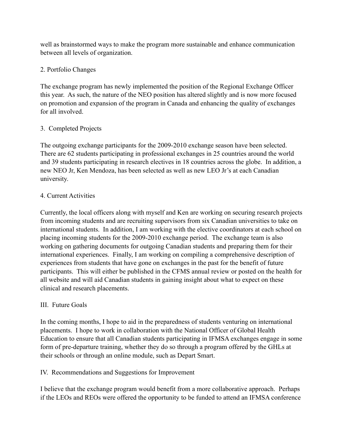well as brainstormed ways to make the program more sustainable and enhance communication between all levels of organization.

### 2. Portfolio Changes

The exchange program has newly implemented the position of the Regional Exchange Officer this year. As such, the nature of the NEO position has altered slightly and is now more focused on promotion and expansion of the program in Canada and enhancing the quality of exchanges for all involved.

### 3. Completed Projects

The outgoing exchange participants for the 2009-2010 exchange season have been selected. There are 62 students participating in professional exchanges in 25 countries around the world and 39 students participating in research electives in 18 countries across the globe. In addition, a new NEO Jr, Ken Mendoza, has been selected as well as new LEO Jr's at each Canadian university.

### 4. Current Activities

Currently, the local officers along with myself and Ken are working on securing research projects from incoming students and are recruiting supervisors from six Canadian universities to take on international students. In addition, I am working with the elective coordinators at each school on placing incoming students for the 2009-2010 exchange period. The exchange team is also working on gathering documents for outgoing Canadian students and preparing them for their international experiences. Finally, I am working on compiling a comprehensive description of experiences from students that have gone on exchanges in the past for the benefit of future participants. This will either be published in the CFMS annual review or posted on the health for all website and will aid Canadian students in gaining insight about what to expect on these clinical and research placements.

### III. Future Goals

In the coming months, I hope to aid in the preparedness of students venturing on international placements. I hope to work in collaboration with the National Officer of Global Health Education to ensure that all Canadian students participating in IFMSA exchanges engage in some form of pre-departure training, whether they do so through a program offered by the GHLs at their schools or through an online module, such as Depart Smart.

### IV. Recommendations and Suggestions for Improvement

I believe that the exchange program would benefit from a more collaborative approach. Perhaps if the LEOs and REOs were offered the opportunity to be funded to attend an IFMSA conference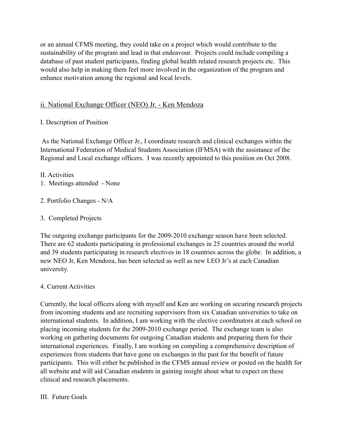or an annual CFMS meeting, they could take on a project which would contribute to the sustainability of the program and lead in that endeavour. Projects could include compiling a database of past student participants, finding global health related research projects etc. This would also help in making them feel more involved in the organization of the program and enhance motivation among the regional and local levels.

### ii. National Exchange Officer (NEO) Jr. - Ken Mendoza

### I. Description of Position

 As the National Exchange Officer Jr., I coordinate research and clinical exchanges within the International Federation of Medical Students Association (IFMSA) with the assistance of the Regional and Local exchange officers. I was recently appointed to this position on Oct 2008.

II. Activities

- 1. Meetings attended None
- 2. Portfolio Changes N/A
- 3. Completed Projects

The outgoing exchange participants for the 2009-2010 exchange season have been selected. There are 62 students participating in professional exchanges in 25 countries around the world and 39 students participating in research electives in 18 countries across the globe. In addition, a new NEO Jr, Ken Mendoza, has been selected as well as new LEO Jr's at each Canadian university.

### 4. Current Activities

Currently, the local officers along with myself and Ken are working on securing research projects from incoming students and are recruiting supervisors from six Canadian universities to take on international students. In addition, I am working with the elective coordinators at each school on placing incoming students for the 2009-2010 exchange period. The exchange team is also working on gathering documents for outgoing Canadian students and preparing them for their international experiences. Finally, I am working on compiling a comprehensive description of experiences from students that have gone on exchanges in the past for the benefit of future participants. This will either be published in the CFMS annual review or posted on the health for all website and will aid Canadian students in gaining insight about what to expect on these clinical and research placements.

#### III. Future Goals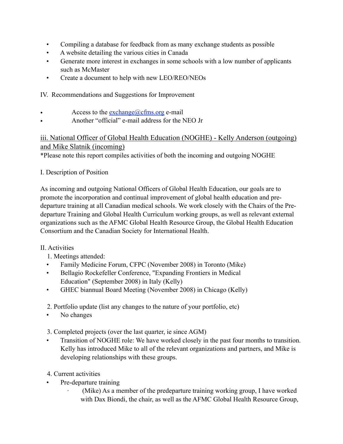- Compiling a database for feedback from as many exchange students as possible
- A website detailing the various cities in Canada
- Generate more interest in exchanges in some schools with a low number of applicants such as McMaster
- Create a document to help with new LEO/REO/NEOs

IV. Recommendations and Suggestions for Improvement

- Access to the [exchange@cfms.org](mailto:exchange@cfms.org) e-mail
- Another "official" e-mail address for the NEO Jr

# iii. National Officer of Global Health Education (NOGHE) - Kelly Anderson (outgoing) and Mike Slatnik (incoming)

\*Please note this report compiles activities of both the incoming and outgoing NOGHE

# I. Description of Position

As incoming and outgoing National Officers of Global Health Education, our goals are to promote the incorporation and continual improvement of global health education and predeparture training at all Canadian medical schools. We work closely with the Chairs of the Predeparture Training and Global Health Curriculum working groups, as well as relevant external organizations such as the AFMC Global Health Resource Group, the Global Health Education Consortium and the Canadian Society for International Health.

# II. Activities

- 1. Meetings attended:
- Family Medicine Forum, CFPC (November 2008) in Toronto (Mike)
- Bellagio Rockefeller Conference, "Expanding Frontiers in Medical Education" (September 2008) in Italy (Kelly)
- GHEC biannual Board Meeting (November 2008) in Chicago (Kelly)
- 2. Portfolio update (list any changes to the nature of your portfolio, etc)
- No changes

3. Completed projects (over the last quarter, ie since AGM)

- Transition of NOGHE role: We have worked closely in the past four months to transition. Kelly has introduced Mike to all of the relevant organizations and partners, and Mike is developing relationships with these groups.
- 4. Current activities
- Pre-departure training
	- (Mike) As a member of the predeparture training working group, I have worked with Dax Biondi, the chair, as well as the AFMC Global Health Resource Group,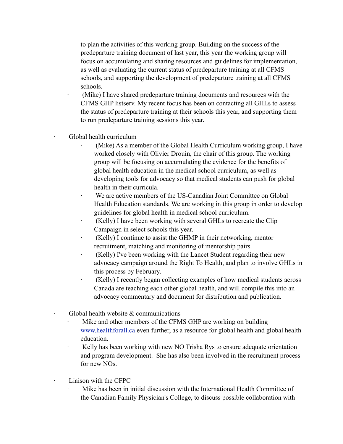to plan the activities of this working group. Building on the success of the predeparture training document of last year, this year the working group will focus on accumulating and sharing resources and guidelines for implementation, as well as evaluating the current status of predeparture training at all CFMS schools, and supporting the development of predeparture training at all CFMS schools.

(Mike) I have shared predeparture training documents and resources with the CFMS GHP listserv. My recent focus has been on contacting all GHLs to assess the status of predeparture training at their schools this year, and supporting them to run predeparture training sessions this year.

Global health curriculum

- (Mike) As a member of the Global Health Curriculum working group, I have worked closely with Olivier Drouin, the chair of this group. The working group will be focusing on accumulating the evidence for the benefits of global health education in the medical school curriculum, as well as developing tools for advocacy so that medical students can push for global health in their curricula.
- We are active members of the US-Canadian Joint Committee on Global Health Education standards. We are working in this group in order to develop guidelines for global health in medical school curriculum.
- (Kelly) I have been working with several GHLs to recreate the Clip Campaign in select schools this year.
- · (Kelly) I continue to assist the GHMP in their networking, mentor recruitment, matching and monitoring of mentorship pairs.
- · (Kelly) I've been working with the Lancet Student regarding their new advocacy campaign around the Right To Health, and plan to involve GHLs in this process by February.
- · (Kelly) I recently began collecting examples of how medical students across Canada are teaching each other global health, and will compile this into an advocacy commentary and document for distribution and publication.
- Global health website  $&$  communications
	- Mike and other members of the CFMS GHP are working on building [www.healthforall.ca](http://www.healthforall.ca/) even further, as a resource for global health and global health education.
	- · Kelly has been working with new NO Trisha Rys to ensure adequate orientation and program development. She has also been involved in the recruitment process for new NOs.
	- Liaison with the CFPC
		- Mike has been in initial discussion with the International Health Committee of the Canadian Family Physician's College, to discuss possible collaboration with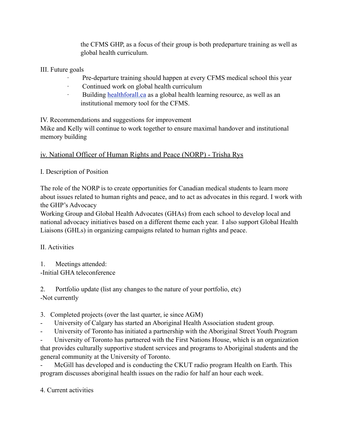the CFMS GHP, as a focus of their group is both predeparture training as well as global health curriculum.

III. Future goals

- Pre-departure training should happen at every CFMS medical school this year
- Continued work on global health curriculum
- Building [healthforall.ca](http://healthforall.ca/) as a global health learning resource, as well as an institutional memory tool for the CFMS.

IV. Recommendations and suggestions for improvement

Mike and Kelly will continue to work together to ensure maximal handover and institutional memory building

iv. National Officer of Human Rights and Peace (NORP) - Trisha Rys

I. Description of Position

The role of the NORP is to create opportunities for Canadian medical students to learn more about issues related to human rights and peace, and to act as advocates in this regard. I work with the GHP's Advocacy

Working Group and Global Health Advocates (GHAs) from each school to develop local and national advocacy initiatives based on a different theme each year. I also support Global Health Liaisons (GHLs) in organizing campaigns related to human rights and peace.

II. Activities

1. Meetings attended: -Initial GHA teleconference

2. Portfolio update (list any changes to the nature of your portfolio, etc) -Not currently

- 3. Completed projects (over the last quarter, ie since AGM)
- University of Calgary has started an Aboriginal Health Association student group.
- University of Toronto has initiated a partnership with the Aboriginal Street Youth Program

University of Toronto has partnered with the First Nations House, which is an organization that provides culturally supportive student services and programs to Aboriginal students and the general community at the University of Toronto.

- McGill has developed and is conducting the CKUT radio program Health on Earth. This program discusses aboriginal health issues on the radio for half an hour each week.

4. Current activities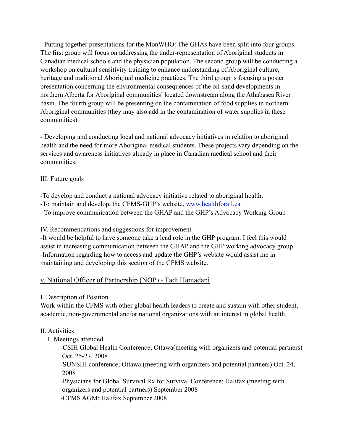- Putting together presentations for the MonWHO: The GHAs have been split into four groups. The first group will focus on addressing the under-representation of Aboriginal students in Canadian medical schools and the physician population. The second group will be conducting a workshop on cultural sensitivity training to enhance understanding of Aboriginal culture, heritage and traditional Aboriginal medicine practices. The third group is focusing a poster presentation concerning the environmental consequences of the oil-sand developments in northern Alberta for Aboriginal communities' located downstream along the Athabasca River basin. The fourth group will be presenting on the contamination of food supplies in northern Aboriginal communities (they may also add in the contamination of water supplies in these communities).

- Developing and conducting local and national advocacy initiatives in relation to aboriginal health and the need for more Aboriginal medical students. These projects vary depending on the services and awareness initiatives already in place in Canadian medical school and their communities.

### III. Future goals

-To develop and conduct a national advocacy initiative related to aboriginal health.

-To maintain and develop, the CFMS-GHP's website, [www.healthforall.ca](http://www.healthforall.ca/)

- To improve communication between the GHAP and the GHP's Advocacy Working Group

IV. Recommendations and suggestions for improvement

-It would be helpful to have someone take a lead role in the GHP program. I feel this would assist in increasing communication between the GHAP and the GHP working advocacy group. -Information regarding how to access and update the GHP's website would assist me in maintaining and developing this section of the CFMS website.

#### v. National Officer of Partnership (NOP) - Fadi Hamadani

#### I. Description of Position

Work within the CFMS with other global health leaders to create and sustain with other student, academic, non-governmental and/or national organizations with an interest in global health.

### II. Activities

1. Meetings attended

 -CSIH Global Health Conference; Ottawa(meeting with organizers and potential partners) Oct. 25-27, 2008

 -SUNSIH conference; Ottawa (meeting with organizers and potential partners) Oct. 24, 2008

 -Physicians for Global Survival Rx for Survival Conference; Halifax (meeting with organizers and potential partners) September 2008

-CFMS AGM; Halifax September 2008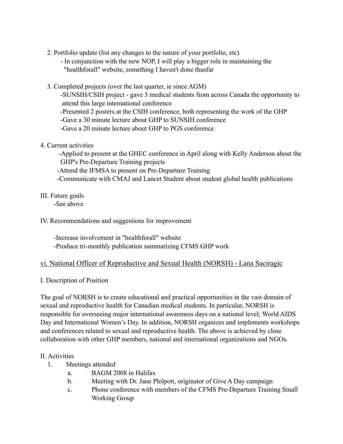- 2. Portfolio update (list any changes to the nature of your portfolio, etc)
	- In conjunction with the new NOP, I will play a bigger role in maintaining the "healthforall" website, something I haven't done thusfar
- 3. Completed projects (over the last quarter, ie since AGM)

 -SUNSIH/CSIH project - gave 3 medical students from across Canada the opportunity to attend this large international conference

-Presented 2 posters at the CSIH conference, both representing the work of the GHP

-Gave a 30 minute lecture about GHP to SUNSIH conference

-Gave a 20 minute lecture about GHP to PGS conference

### 4. Current activities

 -Applied to present at the GHEC conference in April along with Kelly Anderson about the GHP's Pre-Departure Training projects -Attend the IFMSA to present on Pre-Departure Training -Communicate with CMAJ and Lancet Student about student global health publications

# III. Future goals

-See above

### IV. Recommendations and suggestions for improvement

 -Increase involvement in "healthforall" website -Produce tri-monthly publication summarizing CFMS GHP work

### vi. National Officer of Reproductive and Sexual Health (NORSH) - Lana Saciragic

### I. Description of Position

The goal of NORSH is to create educational and practical opportunities in the vast domain of sexual and reproductive health for Canadian medical students. In particular, NORSH is responsible for overseeing major international awareness days on a national level; World AIDS Day and International Women's Day. In addition, NORSH organizes and implements workshops and conferences related to sexual and reproductive health. The above is achieved by close collaboration with other GHP members, national and international organizations and NGOs.

### II. Activities

- 1. Meetings attended
	- a. BAGM 2008 in Halifax
	- b. Meeting with Dr. Jane Philpott, originator of Give A Day campaign
	- c. Phone conference with members of the CFMS Pre-Departure Training Small Working Group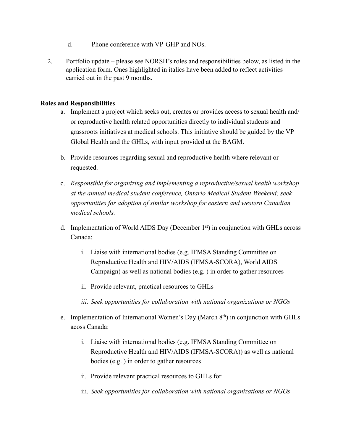- d. Phone conference with VP-GHP and NOs.
- 2. Portfolio update please see NORSH's roles and responsibilities below, as listed in the application form. Ones highlighted in italics have been added to reflect activities carried out in the past 9 months.

#### **Roles and Responsibilities**

- a. Implement a project which seeks out, creates or provides access to sexual health and/ or reproductive health related opportunities directly to individual students and grassroots initiatives at medical schools. This initiative should be guided by the VP Global Health and the GHLs, with input provided at the BAGM.
- b. Provide resources regarding sexual and reproductive health where relevant or requested.
- c. *Responsible for organizing and implementing a reproductive/sexual health workshop at the annual medical student conference, Ontario Medical Student Weekend; seek opportunities for adoption of similar workshop for eastern and western Canadian medical schools.*
- d. Implementation of World AIDS Day (December 1st) in conjunction with GHLs across Canada:
	- i. Liaise with international bodies (e.g. IFMSA Standing Committee on Reproductive Health and HIV/AIDS (IFMSA-SCORA), World AIDS Campaign) as well as national bodies (e.g. ) in order to gather resources
	- ii. Provide relevant, practical resources to GHLs
	- *iii. Seek opportunities for collaboration with national organizations or NGOs*
- e. Implementation of International Women's Day (March  $8<sup>th</sup>$ ) in conjunction with GHLs acoss Canada:
	- i. Liaise with international bodies (e.g. IFMSA Standing Committee on Reproductive Health and HIV/AIDS (IFMSA-SCORA)) as well as national bodies (e.g. ) in order to gather resources
	- ii. Provide relevant practical resources to GHLs for
	- iii. *Seek opportunities for collaboration with national organizations or NGOs*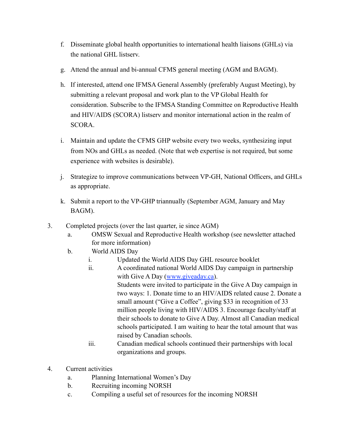- f. Disseminate global health opportunities to international health liaisons (GHLs) via the national GHL listserv.
- g. Attend the annual and bi-annual CFMS general meeting (AGM and BAGM).
- h. If interested, attend one IFMSA General Assembly (preferably August Meeting), by submitting a relevant proposal and work plan to the VP Global Health for consideration. Subscribe to the IFMSA Standing Committee on Reproductive Health and HIV/AIDS (SCORA) listserv and monitor international action in the realm of SCORA.
- i. Maintain and update the CFMS GHP website every two weeks, synthesizing input from NOs and GHLs as needed. (Note that web expertise is not required, but some experience with websites is desirable).
- j. Strategize to improve communications between VP-GH, National Officers, and GHLs as appropriate.
- k. Submit a report to the VP-GHP triannually (September AGM, January and May BAGM).
- 3. Completed projects (over the last quarter, ie since AGM)
	- a. OMSW Sexual and Reproductive Health workshop (see newsletter attached for more information)
	- b. World AIDS Day
		- i. Updated the World AIDS Day GHL resource booklet
		- ii. A coordinated national World AIDS Day campaign in partnership with Give A Day [\(www.giveaday.ca\)](http://www.giveaday.ca). Students were invited to participate in the Give A Day campaign in two ways: 1. Donate time to an HIV/AIDS related cause 2. Donate a small amount ("Give a Coffee", giving \$33 in recognition of 33 million people living with HIV/AIDS 3. Encourage faculty/staff at their schools to donate to Give A Day. Almost all Canadian medical schools participated. I am waiting to hear the total amount that was raised by Canadian schools.
		- iii. Canadian medical schools continued their partnerships with local organizations and groups.
- 4. Current activities
	- a. Planning International Women's Day
	- b. Recruiting incoming NORSH
	- c. Compiling a useful set of resources for the incoming NORSH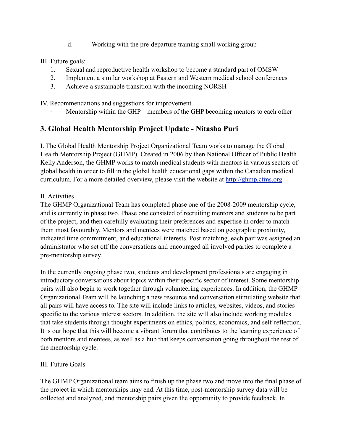d. Working with the pre-departure training small working group

III. Future goals:

- 1. Sexual and reproductive health workshop to become a standard part of OMSW
- 2. Implement a similar workshop at Eastern and Western medical school conferences
- 3. Achieve a sustainable transition with the incoming NORSH

IV. Recommendations and suggestions for improvement

Mentorship within the GHP – members of the GHP becoming mentors to each other

# **3. Global Health Mentorship Project Update - Nitasha Puri**

I. The Global Health Mentorship Project Organizational Team works to manage the Global Health Mentorship Project (GHMP). Created in 2006 by then National Officer of Public Health Kelly Anderson, the GHMP works to match medical students with mentors in various sectors of global health in order to fill in the global health educational gaps within the Canadian medical curriculum. For a more detailed overview, please visit the website at [http://ghmp.cfms.org.](http://ghmp.cfms.org)

### II. Activities

The GHMP Organizational Team has completed phase one of the 2008-2009 mentorship cycle, and is currently in phase two. Phase one consisted of recruiting mentors and students to be part of the project, and then carefully evaluating their preferences and expertise in order to match them most favourably. Mentors and mentees were matched based on geographic proximity, indicated time committment, and educational interests. Post matching, each pair was assigned an administrator who set off the conversations and encouraged all involved parties to complete a pre-mentorship survey.

In the currently ongoing phase two, students and development professionals are engaging in introductory conversations about topics within their specific sector of interest. Some mentorship pairs will also begin to work together through volunteering experiences. In addition, the GHMP Organizational Team will be launching a new resource and conversation stimulating website that all pairs will have access to. The site will include links to articles, websites, videos, and stories specific to the various interest sectors. In addition, the site will also include working modules that take students through thought experiments on ethics, politics, economics, and self-reflection. It is our hope that this will become a vibrant forum that contributes to the learning experience of both mentors and mentees, as well as a hub that keeps conversation going throughout the rest of the mentorship cycle.

# III. Future Goals

The GHMP Organizational team aims to finish up the phase two and move into the final phase of the project in which mentorships may end. At this time, post-mentorship survey data will be collected and analyzed, and mentorship pairs given the opportunity to provide feedback. In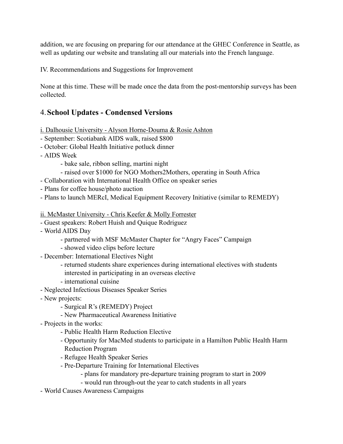addition, we are focusing on preparing for our attendance at the GHEC Conference in Seattle, as well as updating our website and translating all our materials into the French language.

IV. Recommendations and Suggestions for Improvement

None at this time. These will be made once the data from the post-mentorship surveys has been collected.

# 4.**School Updates - Condensed Versions**

i. Dalhousie University - Alyson Horne-Douma & Rosie Ashton

- September: Scotiabank AIDS walk, raised \$800
- October: Global Health Initiative potluck dinner
- AIDS Week
	- bake sale, ribbon selling, martini night
	- raised over \$1000 for NGO Mothers2Mothers, operating in South Africa
- Collaboration with International Health Office on speaker series
- Plans for coffee house/photo auction
- Plans to launch MERcI, Medical Equipment Recovery Initiative (similar to REMEDY)
- ii. McMaster University Chris Keefer & Molly Forrester
- Guest speakers: Robert Huish and Quique Rodriguez
- World AIDS Day
	- partnered with MSF McMaster Chapter for "Angry Faces" Campaign
	- showed video clips before lecture
- December: International Electives Night
	- returned students share experiences during international electives with students interested in participating in an overseas elective
	- international cuisine
- Neglected Infectious Diseases Speaker Series
- New projects:
	- Surgical R's (REMEDY) Project
	- New Pharmaceutical Awareness Initiative
- Projects in the works:
	- Public Health Harm Reduction Elective
	- Opportunity for MacMed students to participate in a Hamilton Public Health Harm Reduction Program
	- Refugee Health Speaker Series
	- Pre-Departure Training for International Electives
		- plans for mandatory pre-departure training program to start in 2009
		- would run through-out the year to catch students in all years
- World Causes Awareness Campaigns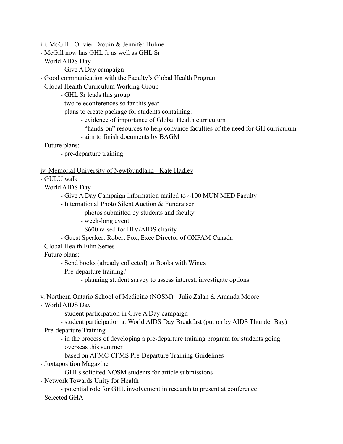iii. McGill - Olivier Drouin & Jennifer Hulme

- McGill now has GHL Jr as well as GHL Sr
- World AIDS Day
	- Give A Day campaign
- Good communication with the Faculty's Global Health Program
- Global Health Curriculum Working Group
	- GHL Sr leads this group
	- two teleconferences so far this year
	- plans to create package for students containing:
		- evidence of importance of Global Health curriculum
		- "hands-on" resources to help convince faculties of the need for GH curriculum
		- aim to finish documents by BAGM
- Future plans:
	- pre-departure training

#### iv. Memorial University of Newfoundland - Kate Hadley

- GULU walk
- World AIDS Day
	- Give A Day Campaign information mailed to ~100 MUN MED Faculty
	- International Photo Silent Auction & Fundraiser
		- photos submitted by students and faculty
		- week-long event
		- \$600 raised for HIV/AIDS charity
	- Guest Speaker: Robert Fox, Exec Director of OXFAM Canada
- Global Health Film Series
- Future plans:
	- Send books (already collected) to Books with Wings
	- Pre-departure training?
		- planning student survey to assess interest, investigate options
- v. Northern Ontario School of Medicine (NOSM) Julie Zalan & Amanda Moore
- World AIDS Day
	- student participation in Give A Day campaign
	- student participation at World AIDS Day Breakfast (put on by AIDS Thunder Bay)
- Pre-departure Training
	- in the process of developing a pre-departure training program for students going overseas this summer
	- based on AFMC-CFMS Pre-Departure Training Guidelines
- Juxtaposition Magazine
	- GHLs solicited NOSM students for article submissions
- Network Towards Unity for Health
	- potential role for GHL involvement in research to present at conference
- Selected GHA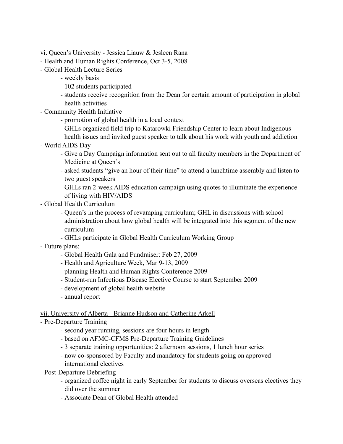vi. Queen's University - Jessica Liauw & Jesleen Rana

- Health and Human Rights Conference, Oct 3-5, 2008
- Global Health Lecture Series
	- weekly basis
	- 102 students participated
	- students receive recognition from the Dean for certain amount of participation in global health activities
- Community Health Initiative
	- promotion of global health in a local context
	- GHLs organized field trip to Katarowki Friendship Center to learn about Indigenous
- health issues and invited guest speaker to talk about his work with youth and addiction - World AIDS Day
	- Give a Day Campaign information sent out to all faculty members in the Department of Medicine at Queen's
	- asked students "give an hour of their time" to attend a lunchtime assembly and listen to two guest speakers
	- GHLs ran 2-week AIDS education campaign using quotes to illuminate the experience of living with HIV/AIDS
- Global Health Curriculum
	- Queen's in the process of revamping curriculum; GHL in discussions with school administration about how global health will be integrated into this segment of the new curriculum
	- GHLs participate in Global Health Curriculum Working Group
- Future plans:
	- Global Health Gala and Fundraiser: Feb 27, 2009
	- Health and Agriculture Week, Mar 9-13, 2009
	- planning Health and Human Rights Conference 2009
	- Student-run Infectious Disease Elective Course to start September 2009
	- development of global health website
	- annual report

vii. University of Alberta - Brianne Hudson and Catherine Arkell

- Pre-Departure Training
	- second year running, sessions are four hours in length
	- based on AFMC-CFMS Pre-Departure Training Guidelines
	- 3 separate training opportunities: 2 afternoon sessions, 1 lunch hour series
	- now co-sponsored by Faculty and mandatory for students going on approved international electives
- Post-Departure Debriefing
	- organized coffee night in early September for students to discuss overseas electives they did over the summer
	- Associate Dean of Global Health attended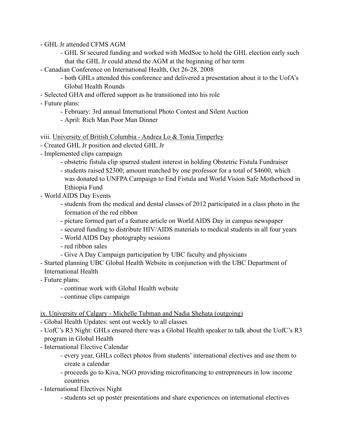- GHL Jr attended CFMS AGM
	- GHL Sr secured funding and worked with MedSoc to hold the GHL election early such that the GHL Jr could attend the AGM at the beginning of her term
- Canadian Conference on International Health, Oct 26-28, 2008
	- both GHLs attended this conference and delivered a presentation about it to the UofA's Global Health Rounds
- Selected GHA and offered support as he transitioned into his role
- Future plans:
	- February: 3rd annual International Photo Contest and Silent Auction
	- April: Rich Man Poor Man Dinner

viii. University of British Columbia - Andrea Lo & Tonia Timperley

- Created GHL Jr position and elected GHL Jr
- Implemented clips campaign
	- obstetric fistula clip spurred student interest in holding Obstetric Fistula Fundraiser
	- students raised \$2300; amount matched by one professor for a total of \$4600, which was donated to UNFPA Campaign to End Fistula and World Vision Safe Motherhood in Ethiopia Fund
- World AIDS Day Events
	- students from the medical and dental classes of 2012 participated in a class photo in the formation of the red ribbon
	- picture formed part of a feature article on World AIDS Day in campus newspaper
	- secured funding to distribute HIV/AIDS materials to medical students in all four years
	- World AIDS Day photography sessions
	- red ribbon sales
	- Give A Day Campaign participation by UBC faculty and physicians
- Started planning UBC Global Health Website in conjunction with the UBC Department of International Health
- Future plans:
	- continue work with Global Health website
	- continue clips campaign
- ix. University of Calgary Michelle Tubman and Nadia Shehata (outgoing)
- Global Health Updates: sent out weekly to all classes
- UofC's R3 Night: GHLs ensured there was a Global Health speaker to talk about the UofC's R3 program in Global Health
- International Elective Calendar
	- every year, GHLs collect photos from students' international electives and use them to create a calendar
	- proceeds go to Kiva, NGO providing microfinancing to entrepreneurs in low income countries
- International Electives Night
	- students set up poster presentations and share experiences on international electives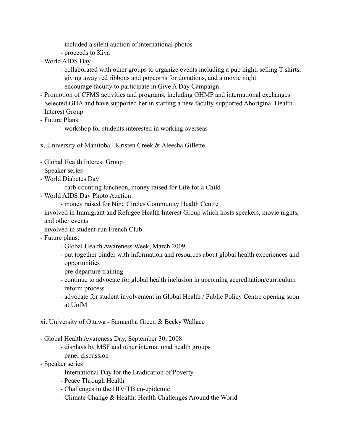- included a silent auction of international photos
- proceeds to Kiva
- World AIDS Day
	- collaborated with other groups to organize events including a pub night, selling T-shirts, giving away red ribbons and popcorns for donations, and a movie night
	- encourage faculty to participate in Give A Day Campaign
- Promotion of CFMS activities and programs, including GHMP and international exchanges
- Selected GHA and have supported her in starting a new faculty-supported Aboriginal Health Interest Group
- Future Plans:
	- workshop for students interested in working overseas
- x. University of Manitoba Kristen Creek & Aleesha Gillette
- Global Health Interest Group
- Speaker series
- World Diabetes Day
	- carb-counting luncheon, money raised for Life for a Child
- World AIDS Day Photo Auction
	- money raised for Nine Circles Community Health Centre
- involved in Immigrant and Refugee Health Interest Group which hosts speakers, movie nights, and other events
- involved in student-run French Club
- Future plans:
	- Global Health Awareness Week, March 2009
	- put together binder with information and resources about global health experiences and opportunities
	- pre-departure training
	- continue to advocate for global health inclusion in upcoming accreditation/curriculum reform process
	- advocate for student involvement in Global Health / Public Policy Centre opening soon at UofM

#### xi. University of Ottawa - Samantha Green & Becky Wallace

- Global Health Awareness Day, September 30, 2008
	- displays by MSF and other international health groups
	- panel discussion
- Speaker series
	- International Day for the Eradication of Poverty
	- Peace Through Health
	- Challenges in the HIV/TB co-epidemic
	- Climate Change & Health: Health Challenges Around the World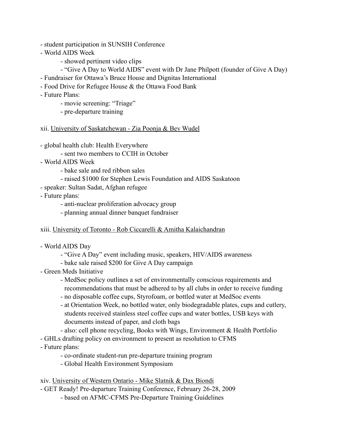- student participation in SUNSIH Conference
- World AIDS Week
	- showed pertinent video clips
	- "Give A Day to World AIDS" event with Dr Jane Philpott (founder of Give A Day)
- Fundraiser for Ottawa's Bruce House and Dignitas International
- Food Drive for Refugee House & the Ottawa Food Bank
- Future Plans:
	- movie screening: "Triage"
	- pre-departure training
- xii. University of Saskatchewan Zia Poonja & Bev Wudel
- global health club: Health Everywhere
	- sent two members to CCIH in October
- World AIDS Week
	- bake sale and red ribbon sales
	- raised \$1000 for Stephen Lewis Foundation and AIDS Saskatoon
- speaker: Sultan Sadat, Afghan refugee
- Future plans:
	- anti-nuclear proliferation advocacy group
	- planning annual dinner banquet fundraiser
- xiii. University of Toronto Rob Ciccarelli & Amitha Kalaichandran
- World AIDS Day
	- "Give A Day" event including music, speakers, HIV/AIDS awareness
	- bake sale raised \$200 for Give A Day campaign
- Green Meds Initiative
	- MedSoc policy outlines a set of environmentally conscious requirements and recommendations that must be adhered to by all clubs in order to receive funding
	- no disposable coffee cups, Styrofoam, or bottled water at MedSoc events
	- at Orientation Week, no bottled water, only biodegradable plates, cups and cutlery, students received stainless steel coffee cups and water bottles, USB keys with documents instead of paper, and cloth bags
	- also: cell phone recycling, Books with Wings, Environment & Health Portfolio
- GHLs drafting policy on environment to present as resolution to CFMS
- Future plans:
	- co-ordinate student-run pre-departure training program
	- Global Health Environment Symposium

xiv. University of Western Ontario - Mike Slatnik & Dax Biondi

- GET Ready! Pre-departure Training Conference, February 26-28, 2009
	- based on AFMC-CFMS Pre-Departure Training Guidelines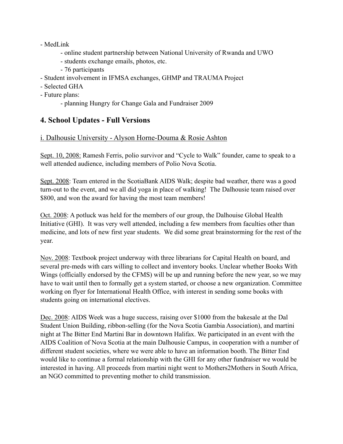#### - MedLink

- online student partnership between National University of Rwanda and UWO
- students exchange emails, photos, etc.
- 76 participants
- Student involvement in IFMSA exchanges, GHMP and TRAUMA Project
- Selected GHA
- Future plans:
	- planning Hungry for Change Gala and Fundraiser 2009

# **4. School Updates - Full Versions**

### i. Dalhousie University - Alyson Horne-Douma & Rosie Ashton

Sept. 10, 2008: Ramesh Ferris, polio survivor and "Cycle to Walk" founder, came to speak to a well attended audience, including members of Polio Nova Scotia.

Sept. 2008: Team entered in the ScotiaBank AIDS Walk; despite bad weather, there was a good turn-out to the event, and we all did yoga in place of walking! The Dalhousie team raised over \$800, and won the award for having the most team members!

Oct. 2008: A potluck was held for the members of our group, the Dalhouise Global Health Initiative (GHI). It was very well attended, including a few members from faculties other than medicine, and lots of new first year students. We did some great brainstorming for the rest of the year.

Nov. 2008: Textbook project underway with three librarians for Capital Health on board, and several pre-meds with cars willing to collect and inventory books. Unclear whether Books With Wings (officially endorsed by the CFMS) will be up and running before the new year, so we may have to wait until then to formally get a system started, or choose a new organization. Committee working on flyer for International Health Office, with interest in sending some books with students going on international electives.

Dec. 2008: AIDS Week was a huge success, raising over \$1000 from the bakesale at the Dal Student Union Building, ribbon-selling (for the Nova Scotia Gambia Association), and martini night at The Bitter End Martini Bar in downtown Halifax. We participated in an event with the AIDS Coalition of Nova Scotia at the main Dalhousie Campus, in cooperation with a number of different student societies, where we were able to have an information booth. The Bitter End would like to continue a formal relationship with the GHI for any other fundraiser we would be interested in having. All proceeds from martini night went to Mothers2Mothers in South Africa, an NGO committed to preventing mother to child transmission.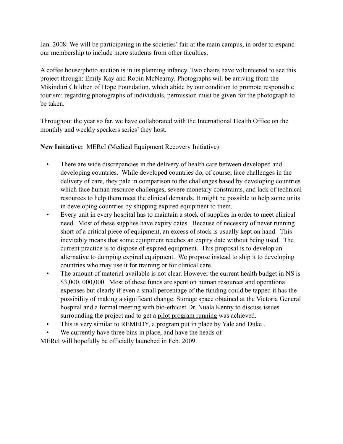Jan. 2008: We will be participating in the societies' fair at the main campus, in order to expand our membership to include more students from other faculties.

A coffee house/photo auction is in its planning infancy. Two chairs have volunteered to see this project through: Emily Kay and Robin McNearny. Photographs will be arriving from the Mikinduri Children of Hope Foundation, which abide by our condition to promote responsible tourism: regarding photographs of individuals, permission must be given for the photograph to be taken.

Throughout the year so far, we have collaborated with the International Health Office on the monthly and weekly speakers series' they host.

**New Initiative:** MERcI (Medical Equipment Recovery Initiative)

- There are wide discrepancies in the delivery of health care between developed and developing countries. While developed countries do, of course, face challenges in the delivery of care, they pale in comparison to the challenges based by developing countries which face human resource challenges, severe monetary constraints, and lack of technical resources to help them meet the clinical demands. It might be possible to help some units in developing countries by shipping expired equipment to them.
- Every unit in every hospital has to maintain a stock of supplies in order to meet clinical need. Most of these supplies have expiry dates. Because of necessity of never running short of a critical piece of equipment, an excess of stock is usually kept on hand. This inevitably means that some equipment reaches an expiry date without being used. The current practice is to dispose of expired equipment. This proposal is to develop an alternative to dumping expired equipment. We propose instead to ship it to developing countries who may use it for training or for clinical care.
- The amount of material available is not clear. However the current health budget in NS is \$3,000, 000,000. Most of these funds are spent on human resources and operational expenses but clearly if even a small percentage of the funding could be tapped it has the possibility of making a significant change. Storage space obtained at the Victoria General hospital and a formal meeting with bio-ethicist Dr. Nuala Kenny to discuss issues surrounding the project and to get a pilot program running was achieved.
- This is very similar to REMEDY, a program put in place by Yale and Duke .
- We currently have three bins in place, and have the heads of

MERcI will hopefully be officially launched in Feb. 2009.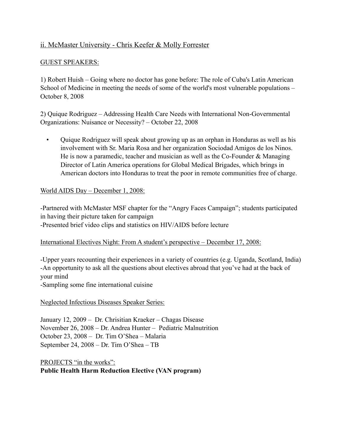### ii. McMaster University - Chris Keefer & Molly Forrester

#### GUEST SPEAKERS:

1) Robert Huish – Going where no doctor has gone before: The role of Cuba's Latin American School of Medicine in meeting the needs of some of the world's most vulnerable populations -October 8, 2008

2) Quique Rodriguez – Addressing Health Care Needs with International Non-Governmental Organizations: Nuisance or Necessity? – October 22, 2008

 • Quique Rodriguez will speak about growing up as an orphan in Honduras as well as his involvement with Sr. Maria Rosa and her organization Sociodad Amigos de los Ninos. He is now a paramedic, teacher and musician as well as the Co-Founder  $\&$  Managing Director of Latin America operations for Global Medical Brigades, which brings in American doctors into Honduras to treat the poor in remote communities free of charge.

#### World AIDS Day – December 1, 2008:

-Partnered with McMaster MSF chapter for the "Angry Faces Campaign"; students participated in having their picture taken for campaign -Presented brief video clips and statistics on HIV/AIDS before lecture

#### International Electives Night: From A student's perspective – December 17, 2008:

-Upper years recounting their experiences in a variety of countries (e.g. Uganda, Scotland, India) -An opportunity to ask all the questions about electives abroad that you've had at the back of your mind

-Sampling some fine international cuisine

#### Neglected Infectious Diseases Speaker Series:

January 12, 2009 – Dr. Chrisitian Kraeker – Chagas Disease November 26, 2008 – Dr. Andrea Hunter – Pediatric Malnutrition October 23, 2008 – Dr. Tim O'Shea – Malaria September 24, 2008 – Dr. Tim O'Shea – TB

PROJECTS "in the works": **Public Health Harm Reduction Elective (VAN program)**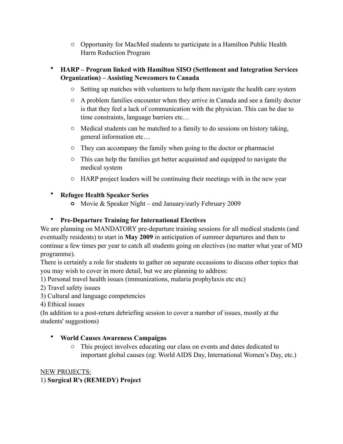o Opportunity for MacMed students to participate in a Hamilton Public Health Harm Reduction Program

### • **HARP – Program linked with Hamilton SISO (Settlement and Integration Services Organization) – Assisting Newcomers to Canada**

- o Setting up matches with volunteers to help them navigate the health care system
- o A problem families encounter when they arrive in Canada and see a family doctor is that they feel a lack of communication with the physician. This can be due to time constraints, language barriers etc…
- o Medical students can be matched to a family to do sessions on history taking, general information etc…
- o They can accompany the family when going to the doctor or pharmacist
- o This can help the families get better acquainted and equipped to navigate the medical system
- o HARP project leaders will be continuing their meetings with in the new year

### • **Refugee Health Speaker Series**

**o** Movie & Speaker Night – end January/early February 2009

### • **Pre-Departure Training for International Electives**

We are planning on MANDATORY pre-departure training sessions for all medical students (and eventually residents) to start in **May 2009** in anticipation of summer departures and then to continue a few times per year to catch all students going on electives (no matter what year of MD programme).

There is certainly a role for students to gather on separate occassions to discuss other topics that you may wish to cover in more detail, but we are planning to address:

- 1) Personal travel health issues (immunizations, malaria prophylaxis etc etc)
- 2) Travel safety issues
- 3) Cultural and language competencies

4) Ethical issues

(In addition to a post-return debriefing session to cover a number of issues, mostly at the students' suggestions)

### • **World Causes Awareness Campaigns**

o This project involves educating our class on events and dates dedicated to important global causes (eg: World AIDS Day, International Women's Day, etc.)

#### NEW PROJECTS: 1) **Surgical R's (REMEDY) Project**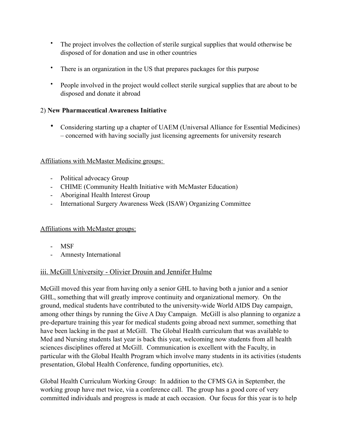- The project involves the collection of sterile surgical supplies that would otherwise be disposed of for donation and use in other countries
- There is an organization in the US that prepares packages for this purpose
- People involved in the project would collect sterile surgical supplies that are about to be disposed and donate it abroad

### 2) **New Pharmaceutical Awareness Initiative**

• Considering starting up a chapter of UAEM (Universal Alliance for Essential Medicines) – concerned with having socially just licensing agreements for university research

#### Affiliations with McMaster Medicine groups:

- Political advocacy Group
- CHIME (Community Health Initiative with McMaster Education)
- Aboriginal Health Interest Group
- International Surgery Awareness Week (ISAW) Organizing Committee

### Affiliations with McMaster groups:

- MSF
- Amnesty International

### iii. McGill University - Olivier Drouin and Jennifer Hulme

McGill moved this year from having only a senior GHL to having both a junior and a senior GHL, something that will greatly improve continuity and organizational memory. On the ground, medical students have contributed to the university-wide World AIDS Day campaign, among other things by running the Give A Day Campaign. McGill is also planning to organize a pre-departure training this year for medical students going abroad next summer, something that have been lacking in the past at McGill. The Global Health curriculum that was available to Med and Nursing students last year is back this year, welcoming now students from all health sciences disciplines offered at McGill. Communication is excellent with the Faculty, in particular with the Global Health Program which involve many students in its activities (students presentation, Global Health Conference, funding opportunities, etc).

Global Health Curriculum Working Group: In addition to the CFMS GA in September, the working group have met twice, via a conference call. The group has a good core of very committed individuals and progress is made at each occasion. Our focus for this year is to help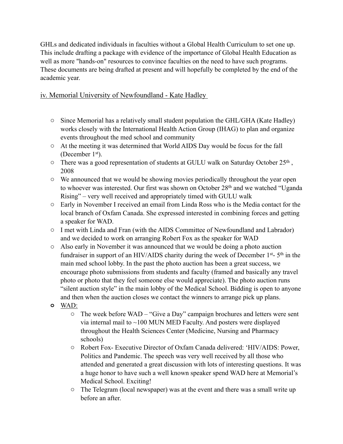GHLs and dedicated individuals in faculties without a Global Health Curriculum to set one up. This include drafting a package with evidence of the importance of Global Health Education as well as more "hands-on" resources to convince faculties on the need to have such programs. These documents are being drafted at present and will hopefully be completed by the end of the academic year.

# iv. Memorial University of Newfoundland - Kate Hadley

- o Since Memorial has a relatively small student population the GHL/GHA (Kate Hadley) works closely with the International Health Action Group (IHAG) to plan and organize events throughout the med school and community
- o At the meeting it was determined that World AIDS Day would be focus for the fall (December 1st).
- $\circ$  There was a good representation of students at GULU walk on Saturday October 25<sup>th</sup>, 2008
- o We announced that we would be showing movies periodically throughout the year open to whoever was interested. Our first was shown on October 28<sup>th</sup> and we watched "Uganda" Rising" – very well received and appropriately timed with GULU walk
- o Early in November I received an email from Linda Ross who is the Media contact for the local branch of Oxfam Canada. She expressed interested in combining forces and getting a speaker for WAD.
- o I met with Linda and Fran (with the AIDS Committee of Newfoundland and Labrador) and we decided to work on arranging Robert Fox as the speaker for WAD
- o Also early in November it was announced that we would be doing a photo auction fundraiser in support of an HIV/AIDS charity during the week of December  $1<sup>st</sup>$ - 5<sup>th</sup> in the main med school lobby. In the past the photo auction has been a great success, we encourage photo submissions from students and faculty (framed and basically any travel photo or photo that they feel someone else would appreciate). The photo auction runs "silent auction style" in the main lobby of the Medical School. Bidding is open to anyone and then when the auction closes we contact the winners to arrange pick up plans.
- **o** WAD:
	- o The week before WAD "Give a Day" campaign brochures and letters were sent via internal mail to  $\sim$ 100 MUN MED Faculty. And posters were displayed throughout the Health Sciences Center (Medicine, Nursing and Pharmacy schools)
	- o Robert Fox- Executive Director of Oxfam Canada delivered: 'HIV/AIDS: Power, Politics and Pandemic. The speech was very well received by all those who attended and generated a great discussion with lots of interesting questions. It was a huge honor to have such a well known speaker spend WAD here at Memorial's Medical School. Exciting!
	- o The Telegram (local newspaper) was at the event and there was a small write up before an after.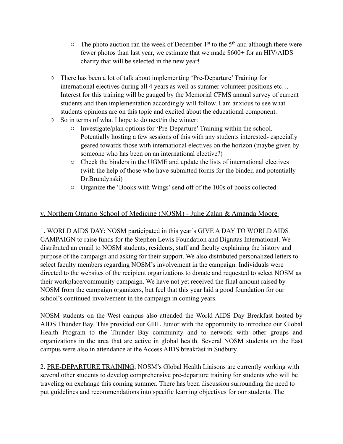- $\circ$  The photo auction ran the week of December 1<sup>st</sup> to the 5<sup>th</sup> and although there were fewer photos than last year, we estimate that we made \$600+ for an HIV/AIDS charity that will be selected in the new year!
- o There has been a lot of talk about implementing 'Pre-Departure' Training for international electives during all 4 years as well as summer volunteer positions etc… Interest for this training will be gauged by the Memorial CFMS annual survey of current students and then implementation accordingly will follow. I am anxious to see what students opinions are on this topic and excited about the educational component.
- o So in terms of what I hope to do next/in the winter:
	- o Investigate/plan options for 'Pre-Departure' Training within the school. Potentially hosting a few sessions of this with any students interested- especially geared towards those with international electives on the horizon (maybe given by someone who has been on an international elective?)
	- o Check the binders in the UGME and update the lists of international electives (with the help of those who have submitted forms for the binder, and potentially Dr.Brundynski)
	- o Organize the 'Books with Wings' send off of the 100s of books collected.

### v. Northern Ontario School of Medicine (NOSM) - Julie Zalan & Amanda Moore

1. WORLD AIDS DAY: NOSM participated in this year's GIVE A DAY TO WORLD AIDS CAMPAIGN to raise funds for the Stephen Lewis Foundation and Dignitas International. We distributed an email to NOSM students, residents, staff and faculty explaining the history and purpose of the campaign and asking for their support. We also distributed personalized letters to select faculty members regarding NOSM's involvement in the campaign. Individuals were directed to the websites of the recipient organizations to donate and requested to select NOSM as their workplace/community campaign. We have not yet received the final amount raised by NOSM from the campaign organizers, but feel that this year laid a good foundation for our school's continued involvement in the campaign in coming years.

NOSM students on the West campus also attended the World AIDS Day Breakfast hosted by AIDS Thunder Bay. This provided our GHL Junior with the opportunity to introduce our Global Health Program to the Thunder Bay community and to network with other groups and organizations in the area that are active in global health. Several NOSM students on the East campus were also in attendance at the Access AIDS breakfast in Sudbury.

2. PRE-DEPARTURE TRAINING; NOSM's Global Health Liaisons are currently working with several other students to develop comprehensive pre-departure training for students who will be traveling on exchange this coming summer. There has been discussion surrounding the need to put guidelines and recommendations into specific learning objectives for our students. The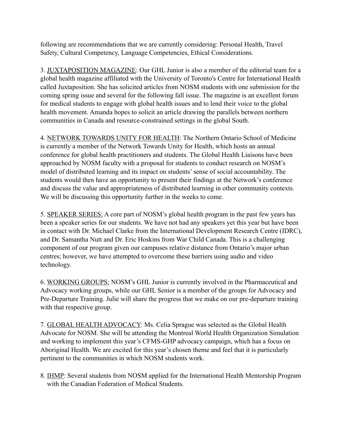following are recommendations that we are currently considering: Personal Health, Travel Safety, Cultural Competency, Language Competencies, Ethical Considerations.

3. JUXTAPOSITION MAGAZINE: Our GHL Junior is also a member of the editorial team for a global health magazine affiliated with the University of Toronto's Centre for International Health called Juxtaposition. She has solicited articles from NOSM students with one submission for the coming spring issue and several for the following fall issue. The magazine is an excellent forum for medical students to engage with global health issues and to lend their voice to the global health movement. Amanda hopes to solicit an article drawing the parallels between northern communities in Canada and resource-constrained settings in the global South.

4. NETWORK TOWARDS UNITY FOR HEALTH: The Northern Ontario School of Medicine is currently a member of the Network Towards Unity for Health, which hosts an annual conference for global health practitioners and students. The Global Health Liaisons have been approached by NOSM faculty with a proposal for students to conduct research on NOSM's model of distributed learning and its impact on students' sense of social accountability. The students would then have an opportunity to present their findings at the Network's conference and discuss the value and appropriateness of distributed learning in other community contexts. We will be discussing this opportunity further in the weeks to come.

5. SPEAKER SERIES: A core part of NOSM's global health program in the past few years has been a speaker series for our students. We have not had any speakers yet this year but have been in contact with Dr. Michael Clarke from the International Development Research Centre (IDRC), and Dr. Samantha Nutt and Dr. Eric Hoskins from War Child Canada. This is a challenging component of our program given our campuses relative distance from Ontario's major urban centres; however, we have attempted to overcome these barriers using audio and video technology.

6. WORKING GROUPS: NOSM's GHL Junior is currently involved in the Pharmaceutical and Advocacy working groups, while our GHL Senior is a member of the groups for Advocacy and Pre-Departure Training. Julie will share the progress that we make on our pre-departure training with that respective group.

7. GLOBAL HEALTH ADVOCACY: Ms. Celia Sprague was selected as the Global Health Advocate for NOSM. She will be attending the Montreal World Health Organization Simulation and working to implement this year's CFMS-GHP advocacy campaign, which has a focus on Aboriginal Health. We are excited for this year's chosen theme and feel that it is particularly pertinent to the communities in which NOSM students work.

8. IHMP: Several students from NOSM applied for the International Health Mentorship Program with the Canadian Federation of Medical Students.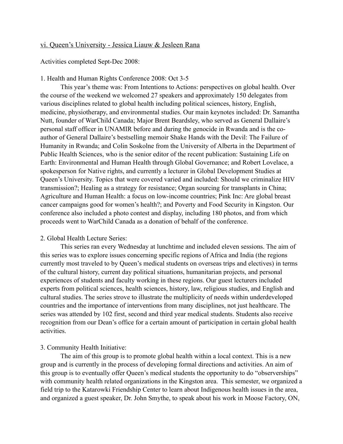#### vi. Queen's University - Jessica Liauw & Jesleen Rana

Activities completed Sept-Dec 2008:

#### 1. Health and Human Rights Conference 2008: Oct 3-5

This year's theme was: From Intentions to Actions: perspectives on global health. Over the course of the weekend we welcomed 27 speakers and approximately 150 delegates from various disciplines related to global health including political sciences, history, English, medicine, physiotherapy, and environmental studies. Our main keynotes included: Dr. Samantha Nutt, founder of WarChild Canada; Major Brent Beardsley, who served as General Dallaire's personal staff officer in UNAMIR before and during the genocide in Rwanda and is the coauthor of General Dallaire's bestselling memoir Shake Hands with the Devil: The Failure of Humanity in Rwanda; and Colin Soskolne from the University of Alberta in the Department of Public Health Sciences, who is the senior editor of the recent publication: Sustaining Life on Earth: Environmental and Human Health through Global Governance; and Robert Lovelace, a spokesperson for Native rights, and currently a lecturer in Global Development Studies at Queen's University. Topics that were covered varied and included: Should we criminalize HIV transmission?; Healing as a strategy for resistance; Organ sourcing for transplants in China; Agriculture and Human Health: a focus on low-income countries; Pink Inc: Are global breast cancer campaigns good for women's health?; and Poverty and Food Security in Kingston. Our conference also included a photo contest and display, including 180 photos, and from which proceeds went to WarChild Canada as a donation of behalf of the conference.

#### 2. Global Health Lecture Series:

This series ran every Wednesday at lunchtime and included eleven sessions. The aim of this series was to explore issues concerning specific regions of Africa and India (the regions currently most traveled to by Queen's medical students on overseas trips and electives) in terms of the cultural history, current day political situations, humanitarian projects, and personal experiences of students and faculty working in these regions. Our guest lecturers included experts from political sciences, health sciences, history, law, religious studies, and English and cultural studies. The series strove to illustrate the multiplicity of needs within underdeveloped countries and the importance of interventions from many disciplines, not just healthcare. The series was attended by 102 first, second and third year medical students. Students also receive recognition from our Dean's office for a certain amount of participation in certain global health activities.

#### 3. Community Health Initiative:

The aim of this group is to promote global health within a local context. This is a new group and is currently in the process of developing formal directions and activities. An aim of this group is to eventually offer Queen's medical students the opportunity to do "observerships" with community health related organizations in the Kingston area. This semester, we organized a field trip to the Katarowki Friendship Center to learn about Indigenous health issues in the area, and organized a guest speaker, Dr. John Smythe, to speak about his work in Moose Factory, ON,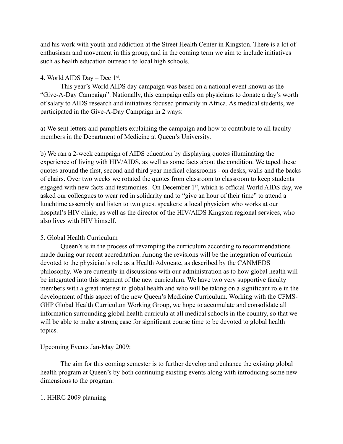and his work with youth and addiction at the Street Health Center in Kingston. There is a lot of enthusiasm and movement in this group, and in the coming term we aim to include initiatives such as health education outreach to local high schools.

#### 4. World AIDS Day – Dec 1st.

This year's World AIDS day campaign was based on a national event known as the "Give-A-Day Campaign". Nationally, this campaign calls on physicians to donate a day's worth of salary to AIDS research and initiatives focused primarily in Africa. As medical students, we participated in the Give-A-Day Campaign in 2 ways:

a) We sent letters and pamphlets explaining the campaign and how to contribute to all faculty members in the Department of Medicine at Queen's University.

b) We ran a 2-week campaign of AIDS education by displaying quotes illuminating the experience of living with HIV/AIDS, as well as some facts about the condition. We taped these quotes around the first, second and third year medical classrooms - on desks, walls and the backs of chairs. Over two weeks we rotated the quotes from classroom to classroom to keep students engaged with new facts and testimonies. On December 1<sup>st</sup>, which is official World AIDS day, we asked our colleagues to wear red in solidarity and to "give an hour of their time" to attend a lunchtime assembly and listen to two guest speakers: a local physician who works at our hospital's HIV clinic, as well as the director of the HIV/AIDS Kingston regional services, who also lives with HIV himself.

### 5. Global Health Curriculum

Queen's is in the process of revamping the curriculum according to recommendations made during our recent accreditation. Among the revisions will be the integration of curricula devoted to the physician's role as a Health Advocate, as described by the CANMEDS philosophy. We are currently in discussions with our administration as to how global health will be integrated into this segment of the new curriculum. We have two very supportive faculty members with a great interest in global health and who will be taking on a significant role in the development of this aspect of the new Queen's Medicine Curriculum. Working with the CFMS-GHP Global Health Curriculum Working Group, we hope to accumulate and consolidate all information surrounding global health curricula at all medical schools in the country, so that we will be able to make a strong case for significant course time to be devoted to global health topics.

#### Upcoming Events Jan-May 2009:

 The aim for this coming semester is to further develop and enhance the existing global health program at Queen's by both continuing existing events along with introducing some new dimensions to the program.

#### 1. HHRC 2009 planning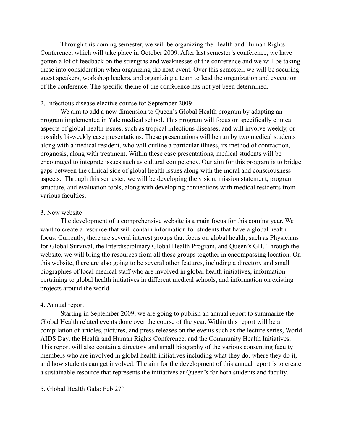Through this coming semester, we will be organizing the Health and Human Rights Conference, which will take place in October 2009. After last semester's conference, we have gotten a lot of feedback on the strengths and weaknesses of the conference and we will be taking these into consideration when organizing the next event. Over this semester, we will be securing guest speakers, workshop leaders, and organizing a team to lead the organization and execution of the conference. The specific theme of the conference has not yet been determined.

#### 2. Infectious disease elective course for September 2009

We aim to add a new dimension to Queen's Global Health program by adapting an program implemented in Yale medical school. This program will focus on specifically clinical aspects of global health issues, such as tropical infections diseases, and will involve weekly, or possibly bi-weekly case presentations. These presentations will be run by two medical students along with a medical resident, who will outline a particular illness, its method of contraction, prognosis, along with treatment. Within these case presentations, medical students will be encouraged to integrate issues such as cultural competency. Our aim for this program is to bridge gaps between the clinical side of global health issues along with the moral and consciousness aspects. Through this semester, we will be developing the vision, mission statement, program structure, and evaluation tools, along with developing connections with medical residents from various faculties.

#### 3. New website

The development of a comprehensive website is a main focus for this coming year. We want to create a resource that will contain information for students that have a global health focus. Currently, there are several interest groups that focus on global health, such as Physicians for Global Survival, the Interdisciplinary Global Health Program, and Queen's GH. Through the website, we will bring the resources from all these groups together in encompassing location. On this website, there are also going to be several other features, including a directory and small biographies of local medical staff who are involved in global health initiatives, information pertaining to global health initiatives in different medical schools, and information on existing projects around the world.

#### 4. Annual report

Starting in September 2009, we are going to publish an annual report to summarize the Global Health related events done over the course of the year. Within this report will be a compilation of articles, pictures, and press releases on the events such as the lecture series, World AIDS Day, the Health and Human Rights Conference, and the Community Health Initiatives. This report will also contain a directory and small biography of the various consenting faculty members who are involved in global health initiatives including what they do, where they do it, and how students can get involved. The aim for the development of this annual report is to create a sustainable resource that represents the initiatives at Queen's for both students and faculty.

#### 5. Global Health Gala: Feb 27th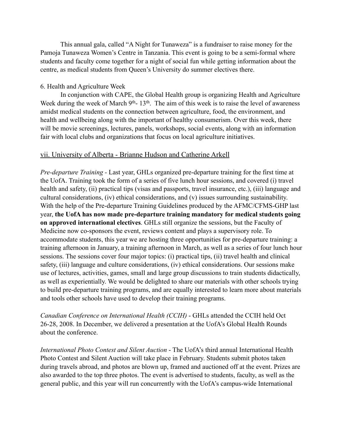This annual gala, called "A Night for Tunaweza" is a fundraiser to raise money for the Pamoja Tunaweza Women's Centre in Tanzania. This event is going to be a semi-formal where students and faculty come together for a night of social fun while getting information about the centre, as medical students from Queen's University do summer electives there.

#### 6. Health and Agriculture Week

In conjunction with CAPE, the Global Health group is organizing Health and Agriculture Week during the week of March 9<sup>th</sup>- 13<sup>th</sup>. The aim of this week is to raise the level of awareness amidst medical students on the connection between agriculture, food, the environment, and health and wellbeing along with the important of healthy consumerism. Over this week, there will be movie screenings, lectures, panels, workshops, social events, along with an information fair with local clubs and organizations that focus on local agriculture initiatives.

#### vii. University of Alberta - Brianne Hudson and Catherine Arkell

*Pre-departure Training -* Last year, GHLs organized pre-departure training for the first time at the UofA. Training took the form of a series of five lunch hour sessions, and covered (i) travel health and safety, (ii) practical tips (visas and passports, travel insurance, etc.), (iii) language and cultural considerations, (iv) ethical considerations, and (v) issues surrounding sustainability. With the help of the Pre-departure Training Guidelines produced by the AFMC/CFMS-GHP last year, **the UofA has now made pre-departure training mandatory for medical students going on approved international electives**. GHLs still organize the sessions, but the Faculty of Medicine now co-sponsors the event, reviews content and plays a supervisory role. To accommodate students, this year we are hosting three opportunities for pre-departure training: a training afternoon in January, a training afternoon in March, as well as a series of four lunch hour sessions. The sessions cover four major topics: (i) practical tips, (ii) travel health and clinical safety, (iii) language and culture considerations, (iv) ethical considerations. Our sessions make use of lectures, activities, games, small and large group discussions to train students didactically, as well as experientially. We would be delighted to share our materials with other schools trying to build pre-departure training programs, and are equally interested to learn more about materials and tools other schools have used to develop their training programs.

*Canadian Conference on International Health (CCIH)* - GHLs attended the CCIH held Oct 26-28, 2008. In December, we delivered a presentation at the UofA's Global Health Rounds about the conference.

*International Photo Contest and Silent Auction* - The UofA's third annual International Health Photo Contest and Silent Auction will take place in February. Students submit photos taken during travels abroad, and photos are blown up, framed and auctioned off at the event. Prizes are also awarded to the top three photos. The event is advertised to students, faculty, as well as the general public, and this year will run concurrently with the UofA's campus-wide International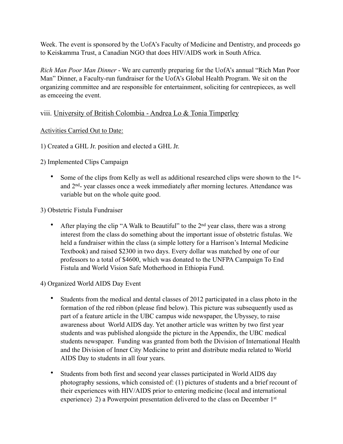Week. The event is sponsored by the UofA's Faculty of Medicine and Dentistry, and proceeds go to Keiskamma Trust, a Canadian NGO that does HIV/AIDS work in South Africa.

*Rich Man Poor Man Dinner* - We are currently preparing for the UofA's annual "Rich Man Poor Man" Dinner, a Faculty-run fundraiser for the UofA's Global Health Program. We sit on the organizing committee and are responsible for entertainment, soliciting for centrepieces, as well as emceeing the event.

### viii. University of British Colombia - Andrea Lo & Tonia Timperley

#### Activities Carried Out to Date:

1) Created a GHL Jr. position and elected a GHL Jr.

2) Implemented Clips Campaign

- Some of the clips from Kelly as well as additional researched clips were shown to the 1<sup>st</sup>and 2nd- year classes once a week immediately after morning lectures. Attendance was variable but on the whole quite good.
- 3) Obstetric Fistula Fundraiser
	- After playing the clip "A Walk to Beautiful" to the 2<sup>nd</sup> year class, there was a strong interest from the class do something about the important issue of obstetric fistulas. We held a fundraiser within the class (a simple lottery for a Harrison's Internal Medicine Textbook) and raised \$2300 in two days. Every dollar was matched by one of our professors to a total of \$4600, which was donated to the UNFPA Campaign To End Fistula and World Vision Safe Motherhood in Ethiopia Fund.

4) Organized World AIDS Day Event

- Students from the medical and dental classes of 2012 participated in a class photo in the formation of the red ribbon (please find below). This picture was subsequently used as part of a feature article in the UBC campus wide newspaper, the Ubyssey, to raise awareness about World AIDS day. Yet another article was written by two first year students and was published alongside the picture in the Appendix, the UBC medical students newspaper. Funding was granted from both the Division of International Health and the Division of Inner City Medicine to print and distribute media related to World AIDS Day to students in all four years.
- Students from both first and second year classes participated in World AIDS day photography sessions, which consisted of: (1) pictures of students and a brief recount of their experiences with HIV/AIDS prior to entering medicine (local and international experience) 2) a Powerpoint presentation delivered to the class on December 1<sup>st</sup>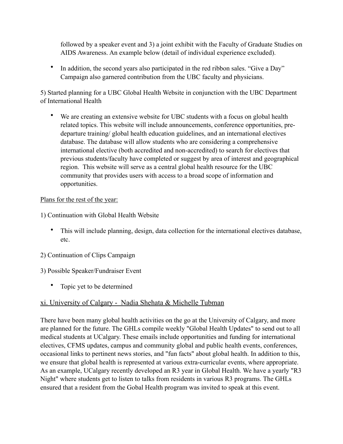followed by a speaker event and 3) a joint exhibit with the Faculty of Graduate Studies on AIDS Awareness. An example below (detail of individual experience excluded).

• In addition, the second years also participated in the red ribbon sales. "Give a Day" Campaign also garnered contribution from the UBC faculty and physicians.

5) Started planning for a UBC Global Health Website in conjunction with the UBC Department of International Health

We are creating an extensive website for UBC students with a focus on global health related topics. This website will include announcements, conference opportunities, predeparture training/ global health education guidelines, and an international electives database. The database will allow students who are considering a comprehensive international elective (both accredited and non-accredited) to search for electives that previous students/faculty have completed or suggest by area of interest and geographical region. This website will serve as a central global health resource for the UBC community that provides users with access to a broad scope of information and opportunities.

#### Plans for the rest of the year:

1) Continuation with Global Health Website

- This will include planning, design, data collection for the international electives database, etc.
- 2) Continuation of Clips Campaign

#### 3) Possible Speaker/Fundraiser Event

• Topic yet to be determined

### xi. University of Calgary - Nadia Shehata & Michelle Tubman

There have been many global health activities on the go at the University of Calgary, and more are planned for the future. The GHLs compile weekly "Global Health Updates" to send out to all medical students at UCalgary. These emails include opportunities and funding for international electives, CFMS updates, campus and community global and public health events, conferences, occasional links to pertinent news stories, and "fun facts" about global health. In addition to this, we ensure that global health is represented at various extra-curricular events, where appropriate. As an example, UCalgary recently developed an R3 year in Global Health. We have a yearly "R3 Night" where students get to listen to talks from residents in various R3 programs. The GHLs ensured that a resident from the Gobal Health program was invited to speak at this event.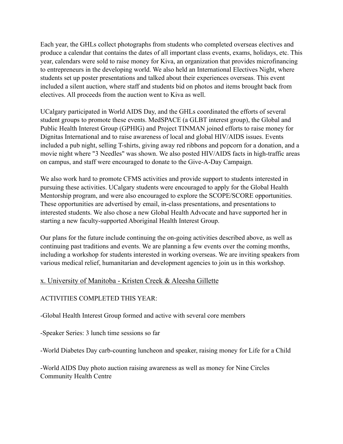Each year, the GHLs collect photographs from students who completed overseas electives and produce a calendar that contains the dates of all important class events, exams, holidays, etc. This year, calendars were sold to raise money for Kiva, an organization that provides microfinancing to entrepreneurs in the developing world. We also held an International Electives Night, where students set up poster presentations and talked about their experiences overseas. This event included a silent auction, where staff and students bid on photos and items brought back from electives. All proceeds from the auction went to Kiva as well.

UCalgary participated in World AIDS Day, and the GHLs coordinated the efforts of several student groups to promote these events. MedSPACE (a GLBT interest group), the Global and Public Health Interest Group (GPHIG) and Project TINMAN joined efforts to raise money for Dignitas International and to raise awareness of local and global HIV/AIDS issues. Events included a pub night, selling T-shirts, giving away red ribbons and popcorn for a donation, and a movie night where "3 Needles" was shown. We also posted HIV/AIDS facts in high-traffic areas on campus, and staff were encouraged to donate to the Give-A-Day Campaign.

We also work hard to promote CFMS activities and provide support to students interested in pursuing these activities. UCalgary students were encouraged to apply for the Global Health Mentorship program, and were also encouraged to explore the SCOPE/SCORE opportunities. These opportunities are advertised by email, in-class presentations, and presentations to interested students. We also chose a new Global Health Advocate and have supported her in starting a new faculty-supported Aboriginal Health Interest Group.

Our plans for the future include continuing the on-going activities described above, as well as continuing past traditions and events. We are planning a few events over the coming months, including a workshop for students interested in working overseas. We are inviting speakers from various medical relief, humanitarian and development agencies to join us in this workshop.

### x. University of Manitoba - Kristen Creek & Aleesha Gillette

#### ACTIVITIES COMPLETED THIS YEAR:

-Global Health Interest Group formed and active with several core members

-Speaker Series: 3 lunch time sessions so far

-World Diabetes Day carb-counting luncheon and speaker, raising money for Life for a Child

-World AIDS Day photo auction raising awareness as well as money for Nine Circles Community Health Centre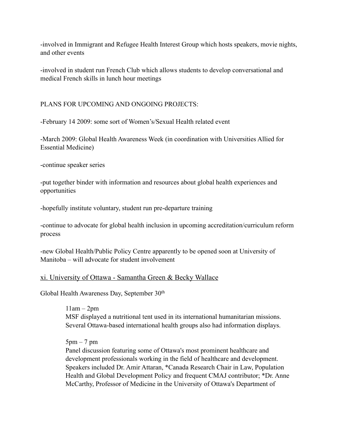-involved in Immigrant and Refugee Health Interest Group which hosts speakers, movie nights, and other events

-involved in student run French Club which allows students to develop conversational and medical French skills in lunch hour meetings

#### PLANS FOR UPCOMING AND ONGOING PROJECTS:

-February 14 2009: some sort of Women's/Sexual Health related event

-March 2009: Global Health Awareness Week (in coordination with Universities Allied for Essential Medicine)

-continue speaker series

-put together binder with information and resources about global health experiences and opportunities

-hopefully institute voluntary, student run pre-departure training

-continue to advocate for global health inclusion in upcoming accreditation/curriculum reform process

-new Global Health/Public Policy Centre apparently to be opened soon at University of Manitoba – will advocate for student involvement

### xi. University of Ottawa - Samantha Green & Becky Wallace

Global Health Awareness Day, September 30th

 $11am - 2pm$ MSF displayed a nutritional tent used in its international humanitarian missions. Several Ottawa-based international health groups also had information displays.

 $5pm - 7pm$ 

Panel discussion featuring some of Ottawa's most prominent healthcare and development professionals working in the field of healthcare and development. Speakers included Dr. Amir Attaran, \*Canada Research Chair in Law, Population Health and Global Development Policy and frequent CMAJ contributor; \*Dr. Anne McCarthy, Professor of Medicine in the University of Ottawa's Department of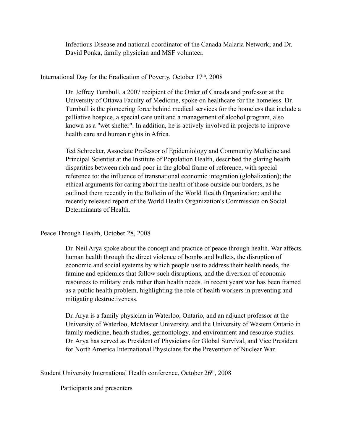Infectious Disease and national coordinator of the Canada Malaria Network; and Dr. David Ponka, family physician and MSF volunteer.

#### International Day for the Eradication of Poverty, October 17th, 2008

Dr. Jeffrey Turnbull, a 2007 recipient of the Order of Canada and professor at the University of Ottawa Faculty of Medicine, spoke on healthcare for the homeless. Dr. Turnbull is the pioneering force behind medical services for the homeless that include a palliative hospice, a special care unit and a management of alcohol program, also known as a "wet shelter". In addition, he is actively involved in projects to improve health care and human rights in Africa.

Ted Schrecker, Associate Professor of Epidemiology and Community Medicine and Principal Scientist at the Institute of Population Health, described the glaring health disparities between rich and poor in the global frame of reference, with special reference to: the influence of transnational economic integration (globalization); the ethical arguments for caring about the health of those outside our borders, as he outlined them recently in the Bulletin of the World Health Organization; and the recently released report of the World Health Organization's Commission on Social Determinants of Health.

#### Peace Through Health, October 28, 2008

Dr. Neil Arya spoke about the concept and practice of peace through health. War affects human health through the direct violence of bombs and bullets, the disruption of economic and social systems by which people use to address their health needs, the famine and epidemics that follow such disruptions, and the diversion of economic resources to military ends rather than health needs. In recent years war has been framed as a public health problem, highlighting the role of health workers in preventing and mitigating destructiveness.

Dr. Arya is a family physician in Waterloo, Ontario, and an adjunct professor at the University of Waterloo, McMaster University, and the University of Western Ontario in family medicine, health studies, gernontology, and environment and resource studies. Dr. Arya has served as President of Physicians for Global Survival, and Vice President for North America International Physicians for the Prevention of Nuclear War.

Student University International Health conference, October 26<sup>th</sup>, 2008

Participants and presenters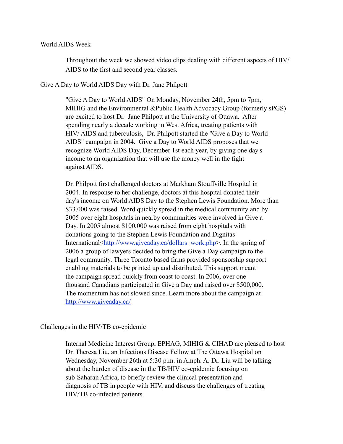#### World AIDS Week

Throughout the week we showed video clips dealing with different aspects of HIV/ AIDS to the first and second year classes.

Give A Day to World AIDS Day with Dr. Jane Philpott

"Give A Day to World AIDS" On Monday, November 24th, 5pm to 7pm, MIHIG and the Environmental &Public Health Advocacy Group (formerly sPGS) are excited to host Dr. Jane Philpott at the University of Ottawa. After spending nearly a decade working in West Africa, treating patients with HIV/ AIDS and tuberculosis, Dr. Philpott started the "Give a Day to World AIDS" campaign in 2004. Give a Day to World AIDS proposes that we recognize World AIDS Day, December 1st each year, by giving one day's income to an organization that will use the money well in the fight against AIDS.

Dr. Philpott first challenged doctors at Markham Stouffville Hospital in 2004. In response to her challenge, doctors at this hospital donated their day's income on World AIDS Day to the Stephen Lewis Foundation. More than \$33,000 was raised. Word quickly spread in the medical community and by 2005 over eight hospitals in nearby communities were involved in Give a Day. In 2005 almost \$100,000 was raised from eight hospitals with donations going to the Stephen Lewis Foundation and Dignitas International[<http://www.giveaday.ca/dollars\\_work.php>](http://www.giveaday.ca/dollars_work.php). In the spring of 2006 a group of lawyers decided to bring the Give a Day campaign to the legal community. Three Toronto based firms provided sponsorship support enabling materials to be printed up and distributed. This support meant the campaign spread quickly from coast to coast. In 2006, over one thousand Canadians participated in Give a Day and raised over \$500,000. The momentum has not slowed since. Learn more about the campaign at <http://www.giveaday.ca/>

Challenges in the HIV/TB co-epidemic

Internal Medicine Interest Group, EPHAG, MIHIG & CIHAD are pleased to host Dr. Theresa Liu, an Infectious Disease Fellow at The Ottawa Hospital on Wednesday, November 26th at 5:30 p.m. in Amph. A. Dr. Liu will be talking about the burden of disease in the TB/HIV co-epidemic focusing on sub-Saharan Africa, to briefly review the clinical presentation and diagnosis of TB in people with HIV, and discuss the challenges of treating HIV/TB co-infected patients.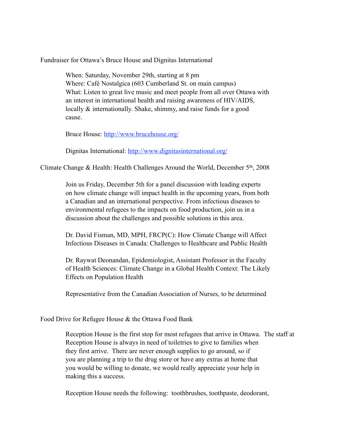Fundraiser for Ottawa's Bruce House and Dignitas International

When: Saturday, November 29th, starting at 8 pm Where: Café Nostalgica (603 Cumberland St. on main campus) What: Listen to great live music and meet people from all over Ottawa with an interest in international health and raising awareness of HIV/AIDS, locally & internationally. Shake, shimmy, and raise funds for a good cause.

Bruce House: <http://www.brucehouse.org/>

Dignitas International:<http://www.dignitasinternational.org/>

Climate Change & Health: Health Challenges Around the World, December  $5<sup>th</sup>$ , 2008

Join us Friday, December 5th for a panel discussion with leading experts on how climate change will impact health in the upcoming years, from both a Canadian and an international perspective. From infectious diseases to environmental refugees to the impacts on food production, join us in a discussion about the challenges and possible solutions in this area.

Dr. David Fisman, MD, MPH, FRCP(C): How Climate Change will Affect Infectious Diseases in Canada: Challenges to Healthcare and Public Health

Dr. Raywat Deonandan, Epidemiologist, Assistant Professor in the Faculty of Health Sciences: Climate Change in a Global Health Context: The Likely Effects on Population Health

Representative from the Canadian Association of Nurses, to be determined

Food Drive for Refugee House & the Ottawa Food Bank

Reception House is the first stop for most refugees that arrive in Ottawa. The staff at Reception House is always in need of toiletries to give to families when they first arrive. There are never enough supplies to go around, so if you are planning a trip to the drug store or have any extras at home that you would be willing to donate, we would really appreciate your help in making this a success.

Reception House needs the following: toothbrushes, toothpaste, deodorant,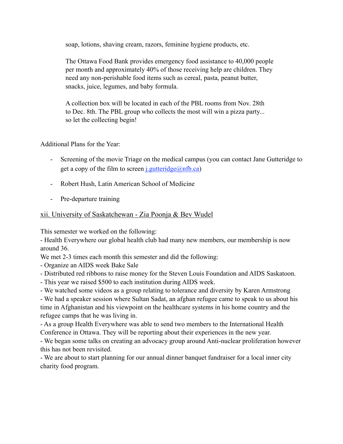soap, lotions, shaving cream, razors, feminine hygiene products, etc.

The Ottawa Food Bank provides emergency food assistance to 40,000 people per month and approximately 40% of those receiving help are children. They need any non-perishable food items such as cereal, pasta, peanut butter, snacks, juice, legumes, and baby formula.

A collection box will be located in each of the PBL rooms from Nov. 28th to Dec. 8th. The PBL group who collects the most will win a pizza party... so let the collecting begin!

Additional Plans for the Year:

- Screening of the movie Triage on the medical campus (you can contact Jane Gutteridge to get a copy of the film to screen <u>j.gutteridge</u> $(\partial \text{nfb.ca})$
- Robert Hush, Latin American School of Medicine
- Pre-departure training

#### xii. University of Saskatchewan - Zia Poonja & Bev Wudel

This semester we worked on the following:

- Health Everywhere our global health club had many new members, our membership is now around 36.

We met 2-3 times each month this semester and did the following:

- Organize an AIDS week Bake Sale

- Distributed red ribbons to raise money for the Steven Louis Foundation and AIDS Saskatoon.
- This year we raised \$500 to each institution during AIDS week.

- We watched some videos as a group relating to tolerance and diversity by Karen Armstrong

- We had a speaker session where Sultan Sadat, an afghan refugee came to speak to us about his time in Afghanistan and his viewpoint on the healthcare systems in his home country and the refugee camps that he was living in.

- As a group Health Everywhere was able to send two members to the International Health Conference in Ottawa. They will be reporting about their experiences in the new year.

- We began some talks on creating an advocacy group around Anti-nuclear proliferation however this has not been revisited.

- We are about to start planning for our annual dinner banquet fundraiser for a local inner city charity food program.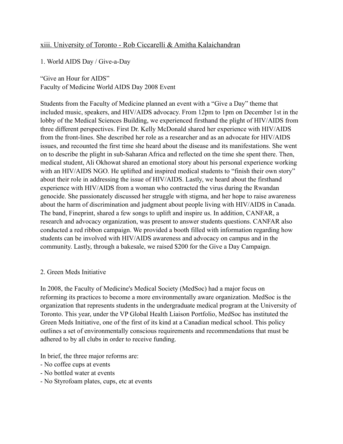### xiii. University of Toronto - Rob Ciccarelli & Amitha Kalaichandran

1. World AIDS Day / Give-a-Day

"Give an Hour for AIDS" Faculty of Medicine World AIDS Day 2008 Event

Students from the Faculty of Medicine planned an event with a "Give a Day" theme that included music, speakers, and HIV/AIDS advocacy. From 12pm to 1pm on December 1st in the lobby of the Medical Sciences Building, we experienced firsthand the plight of HIV/AIDS from three different perspectives. First Dr. Kelly McDonald shared her experience with HIV/AIDS from the front-lines. She described her role as a researcher and as an advocate for HIV/AIDS issues, and recounted the first time she heard about the disease and its manifestations. She went on to describe the plight in sub-Saharan Africa and reflected on the time she spent there. Then, medical student, Ali Okhowat shared an emotional story about his personal experience working with an HIV/AIDS NGO. He uplifted and inspired medical students to "finish their own story" about their role in addressing the issue of HIV/AIDS. Lastly, we heard about the firsthand experience with HIV/AIDS from a woman who contracted the virus during the Rwandan genocide. She passionately discussed her struggle with stigma, and her hope to raise awareness about the harm of discrimination and judgment about people living with HIV/AIDS in Canada. The band, Fineprint, shared a few songs to uplift and inspire us. In addition, CANFAR, a research and advocacy organization, was present to answer students questions. CANFAR also conducted a red ribbon campaign. We provided a booth filled with information regarding how students can be involved with HIV/AIDS awareness and advocacy on campus and in the community. Lastly, through a bakesale, we raised \$200 for the Give a Day Campaign.

#### 2. Green Meds Initiative

In 2008, the Faculty of Medicine's Medical Society (MedSoc) had a major focus on reforming its practices to become a more environmentally aware organization. MedSoc is the organization that represents students in the undergraduate medical program at the University of Toronto. This year, under the VP Global Health Liaison Portfolio, MedSoc has instituted the Green Meds Initiative, one of the first of its kind at a Canadian medical school. This policy outlines a set of environmentally conscious requirements and recommendations that must be adhered to by all clubs in order to receive funding.

In brief, the three major reforms are:

- No coffee cups at events
- No bottled water at events
- No Styrofoam plates, cups, etc at events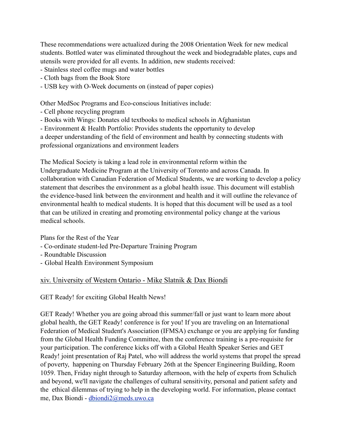These recommendations were actualized during the 2008 Orientation Week for new medical students. Bottled water was eliminated throughout the week and biodegradable plates, cups and utensils were provided for all events. In addition, new students received:

- Stainless steel coffee mugs and water bottles

- Cloth bags from the Book Store
- USB key with O-Week documents on (instead of paper copies)

Other MedSoc Programs and Eco-conscious Initiatives include:

- Cell phone recycling program
- Books with Wings: Donates old textbooks to medical schools in Afghanistan
- Environment & Health Portfolio: Provides students the opportunity to develop

a deeper understanding of the field of environment and health by connecting students with professional organizations and environment leaders

The Medical Society is taking a lead role in environmental reform within the Undergraduate Medicine Program at the University of Toronto and across Canada. In collaboration with Canadian Federation of Medical Students, we are working to develop a policy statement that describes the environment as a global health issue. This document will establish the evidence-based link between the environment and health and it will outline the relevance of environmental health to medical students. It is hoped that this document will be used as a tool that can be utilized in creating and promoting environmental policy change at the various medical schools.

Plans for the Rest of the Year

- Co-ordinate student-led Pre-Departure Training Program
- Roundtable Discussion
- Global Health Environment Symposium

### xiv. University of Western Ontario - Mike Slatnik & Dax Biondi

GET Ready! for exciting Global Health News!

GET Ready! Whether you are going abroad this summer/fall or just want to learn more about global health, the GET Ready! conference is for you! If you are traveling on an International Federation of Medical Student's Association (IFMSA) exchange or you are applying for funding from the Global Health Funding Committee, then the conference training is a pre-requisite for your participation. The conference kicks off with a Global Health Speaker Series and GET Ready! joint presentation of Raj Patel, who will address the world systems that propel the spread of poverty, happening on Thursday February 26th at the Spencer Engineering Building, Room 1059. Then, Friday night through to Saturday afternoon, with the help of experts from Schulich and beyond, we'll navigate the challenges of cultural sensitivity, personal and patient safety and the ethical dilemmas of trying to help in the developing world. For information, please contact me, Dax Biondi - [dbiondi2@meds.uwo.ca](mailto:dbiondi2@meds.uwo.ca)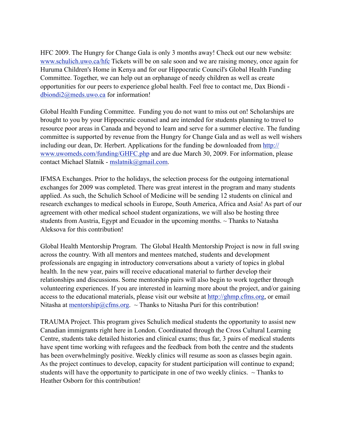HFC 2009. The Hungry for Change Gala is only 3 months away! Check out our new website: [www.schulich.uwo.ca/hfc](http://www.schulich.uwo.ca/hfc) Tickets will be on sale soon and we are raising money, once again for Huruma Children's Home in Kenya and for our Hippocratic Council's Global Health Funding Committee. Together, we can help out an orphanage of needy children as well as create opportunities for our peers to experience global health. Feel free to contact me, Dax Biondi [dbiondi2@meds.uwo.ca](mailto:dbiondi2@meds.uwo.ca) for information!

Global Health Funding Committee. Funding you do not want to miss out on! Scholarships are brought to you by your Hippocratic counsel and are intended for students planning to travel to resource poor areas in Canada and beyond to learn and serve for a summer elective. The funding committee is supported by revenue from the Hungry for Change Gala and as well as well wishers including our dean, Dr. Herbert. Applications for the funding be downloaded from [http://](http://www.uwomeds.com/funding/GHFC.php) [www.uwomeds.com/funding/GHFC.php](http://www.uwomeds.com/funding/GHFC.php) and are due March 30, 2009. For information, please contact Michael Slatnik - [mslatnik@gmail.com](mailto:mslatnik@gmail.com).

IFMSA Exchanges. Prior to the holidays, the selection process for the outgoing international exchanges for 2009 was completed. There was great interest in the program and many students applied. As such, the Schulich School of Medicine will be sending 12 students on clinical and research exchanges to medical schools in Europe, South America, Africa and Asia! As part of our agreement with other medical school student organizations, we will also be hosting three students from Austria, Egypt and Ecuador in the upcoming months.  $\sim$  Thanks to Natasha Aleksova for this contribution!

Global Health Mentorship Program. The Global Health Mentorship Project is now in full swing across the country. With all mentors and mentees matched, students and development professionals are engaging in introductory conversations about a variety of topics in global health. In the new year, pairs will receive educational material to further develop their relationships and discussions. Some mentorship pairs will also begin to work together through volunteering experiences. If you are interested in learning more about the project, and/or gaining access to the educational materials, please visit our website at [http://ghmp.cfms.org](http://ghmp.cfms.org/), or email Nitasha at [mentorship@cfms.org](mailto:mentorship@cfms.org). ~ Thanks to Nitasha Puri for this contribution!

TRAUMA Project. This program gives Schulich medical students the opportunity to assist new Canadian immigrants right here in London. Coordinated through the Cross Cultural Learning Centre, students take detailed histories and clinical exams; thus far, 3 pairs of medical students have spent time working with refugees and the feedback from both the centre and the students has been overwhelmingly positive. Weekly clinics will resume as soon as classes begin again. As the project continues to develop, capacity for student participation will continue to expand; students will have the opportunity to participate in one of two weekly clinics.  $\sim$  Thanks to Heather Osborn for this contribution!